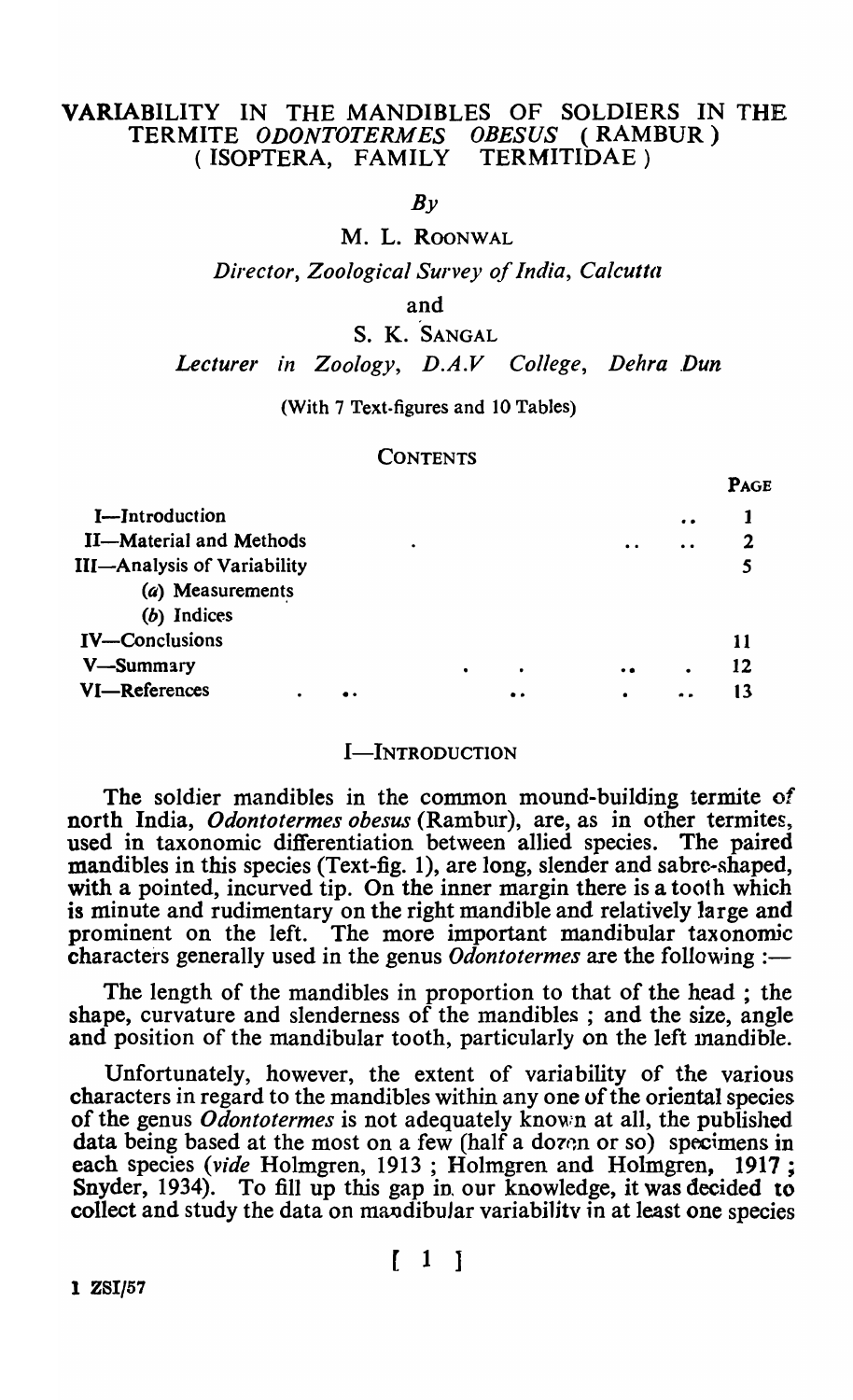# VARIABILITY IN THE MANDIBLES OF SOLDIERS IN THE TERMITE *ODONTOTERMES OBESUS* (RAMBUR) (ISOPTERA, FAMILY TERMITIDAE)

 $Bv$ 

M. L. ROONWAL

*Director, Zoological Survey of India, Calcutta* 

and

S. K. SANGAL

*Lecturer in Zoology, D.A.V College, Dehra* .Dun

PAGE

#### (With 7 Text-figures and 10 Tables)

#### **CONTENTS**

|                                    |   |   |     |           |                      | * 59 |
|------------------------------------|---|---|-----|-----------|----------------------|------|
| I-Introduction                     |   |   |     |           | $\bullet$            |      |
| <b>II-Material and Methods</b>     | ٠ |   |     | $\bullet$ | $\ddot{\phantom{a}}$ |      |
| <b>III-Analysis of Variability</b> |   |   |     |           |                      |      |
| (a) Measurements                   |   |   |     |           |                      |      |
| (b) Indices                        |   |   |     |           |                      |      |
| <b>IV-Conclusions</b>              |   |   |     |           |                      | 11   |
| V-Summary                          |   | ٠ |     | $\bullet$ |                      | 12   |
| VI-References<br>٠                 |   |   | . . | ٠         | . .                  | 13   |
|                                    |   |   |     |           |                      |      |

#### I-INTRODUCTION

The soldier mandibles in the common mound-building termite of north India, *Odontotermes obesus* (Rambur), are, as in other termites, used in taxonomic differentiation between allied species. The paired mandibles in this species (Text-fig. 1), are long, slender and sabre-shaped, with a pointed, incurved tip. On the inner margin there is a tooth which is minute and rudimentary on the right mandible and relatively large and prominent on the left. The more important mandibular taxonomic characters generally used in the genus *Odontotermes* are the following :-

The length of the mandibles in proportion to that of the head ; the shape, curvature and slenderness of the mandibles ; and the size, angle and position of the mandibular tooth, particularly on the left mandible.

Unfortunately, however, the extent of variability of the various characters in regard to the mandibles within anyone of the oriental species of the genus *Odontotermes* is not adequately known at all, the published data being based at the most on a few (half a dozen or so) specimens in each species *(vide* Holmgren, 1913 ; Holmgren and Holmgren, 1917; Snyder, 1934). To fill up this gap in, our knowledge, it was decided to collect and study the data on mandibular variability in at least one species

1 ZSI/57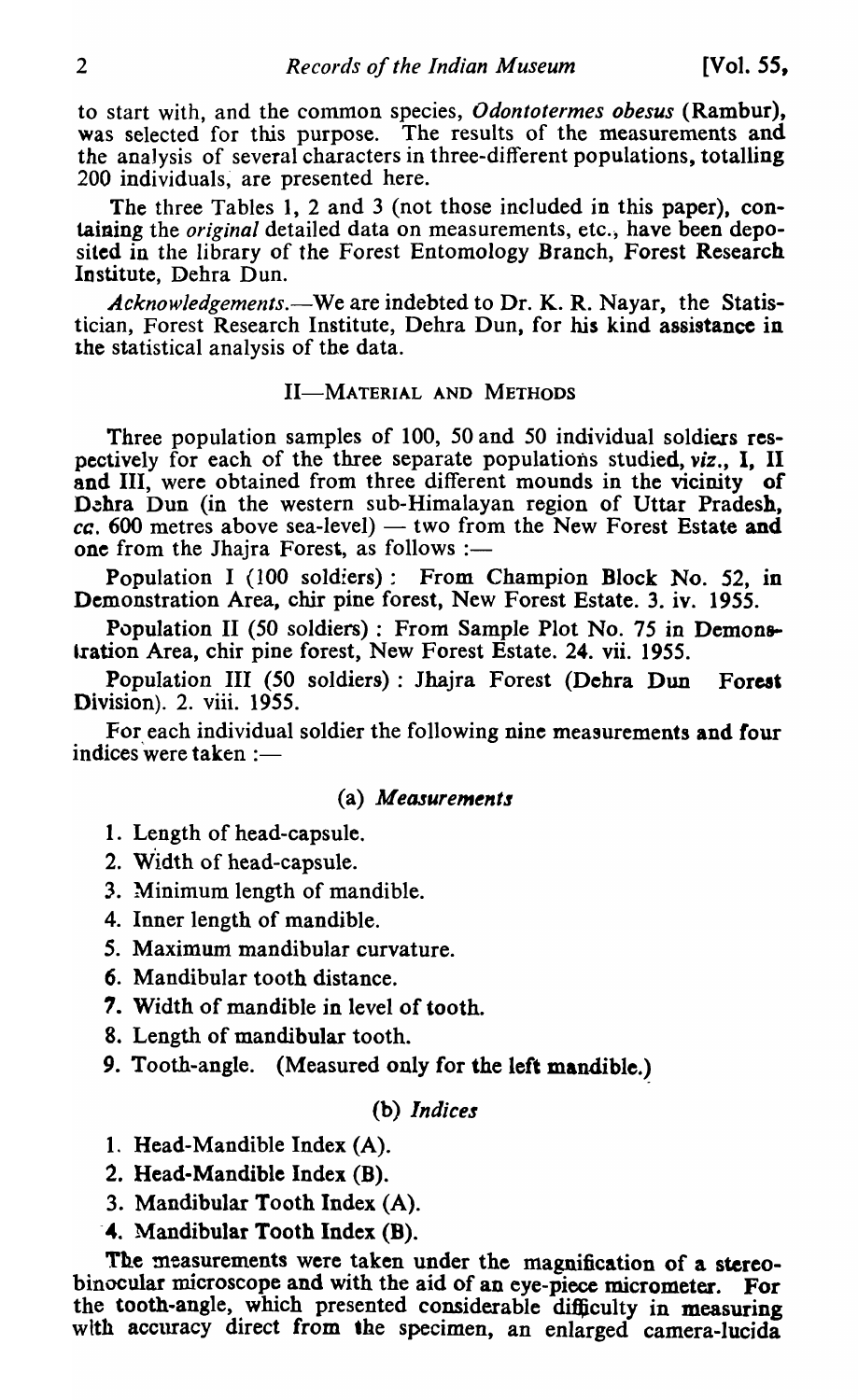to start with, and the common species, *Odontotermes obesus* (Rambur), was selected for this purpose. The results of the measurements and the anaJysis of several characters in three-different populations, totalling 200 individuals, are presented here.

The three Tables 1, 2 and 3 (not those included in this paper), containing the *original* detailed data on measurements, etc., have been deposited in the library of the Forest Entomology Branch, Forest Research Institute, Dehra Dun.

Acknowledgements.—We are indebted to Dr. K. R. Nayar, the Statistician, Forest Research Institute, Dehra Dun, for his kind assistance in the statistical analysis of the data.

#### II-MATERIAL AND METHODS

Three population samples of 100, 50 and 50 individual soldiers respectively for each of the three separate populations studied, *viz.,* I, II and III, were obtained from three different mounds in the vicinity of Dehra Dun (in the western sub-Himalayan region of Uttar Pradesh,  $cc. 600$  metres above sea-level)  $-$  two from the New Forest Estate and one from the Jhajra Forest, as follows :-

Population I (IOO soldiers): From Champion Block No. 52, in Demonstration Area, chir pine forest, New Forest Estate. 3. iv. 1955.

Population II (50 soldiers) : From Sample Plot No. 75 in Demonstration Area, chir pine forest, New Forest Estate. 24. vii. 1955.

Population III (50 soldiers) : Jhajra Forest (Dehra Dun Forest Division). 2. viii. 1955.

For each individual soldier the following nine measurements and four indices were taken  $:=$ 

#### (a) Measurements

- 1. Length of head-capsule.
- 2. Width of head-capsule.
- 3. Minimum length of mandible.
- 4. Inner length of mandible.
- *5.* Maximum mandibular curvature.
- 6. Mandibular tooth distance.
- 1. Width of mandible in level of tooth.
- 8. Length of mandibular tooth.
- 9. Tooth-angle. (Measured only for the left mandible.)

#### (b) *Indices*

- 1. Head-Mandible Index (A).
- 2. Head-Mandible Index (B).
- 3. Mandibular Tooth Index (A).
- -4. Mandibular Tooth Index (B).

The measurements were taken under the magnification of a stereobinocular microscope and with the aid of an eye-piece micrometer. For the tooth-angle, which presented considerable difficulty in measuring with accuracy direct from the specimen, an enlarged camera-lucida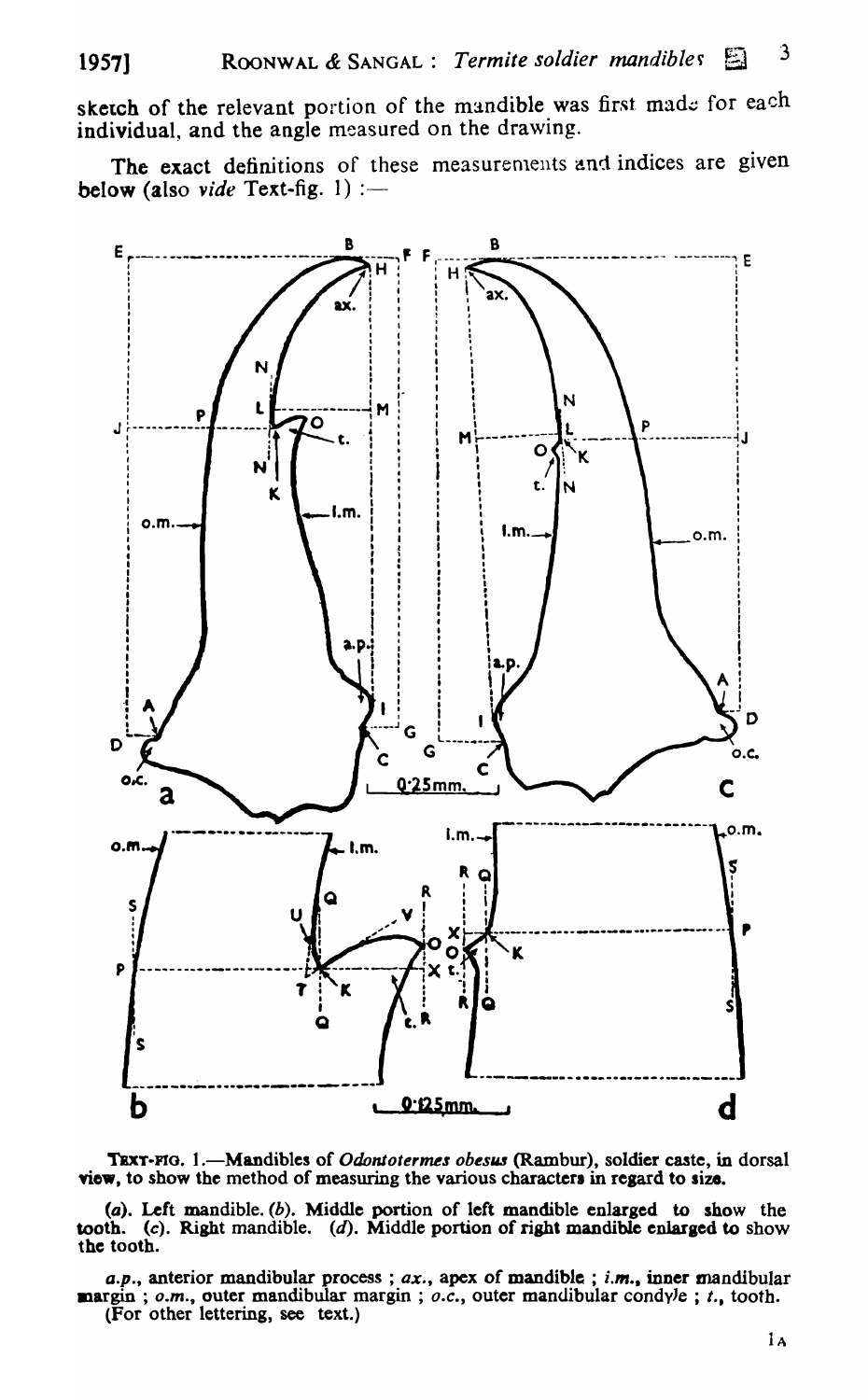sketch of the relevant portion of the mandible was first made for each individual, and the angle measured on the drawing.

The exact definitions of these measurements and indices are given below (also vide Text-fig. 1) :-



TEXT-FIG. 1.—Mandibles of Odontotermes obesus (Rambur), soldier caste, in dorsal view, to show the method of measuring the various characters in regard to size.

 $(a)$ . Left mandible.  $(b)$ . Middle portion of left mandible enlarged to show the tooth. (c). Right mandible.  $(d)$ . Middle portion of right mandible enlarged to show the tooth.

a.p., anterior mandibular process;  $ax$ , apex of mandible; i.m., inner mandibular  $\mathbf{margin}$ ; o.m., outer mandibular margin; o.c., outer mandibular condyle; t., tooth. (For other lettering, see text.)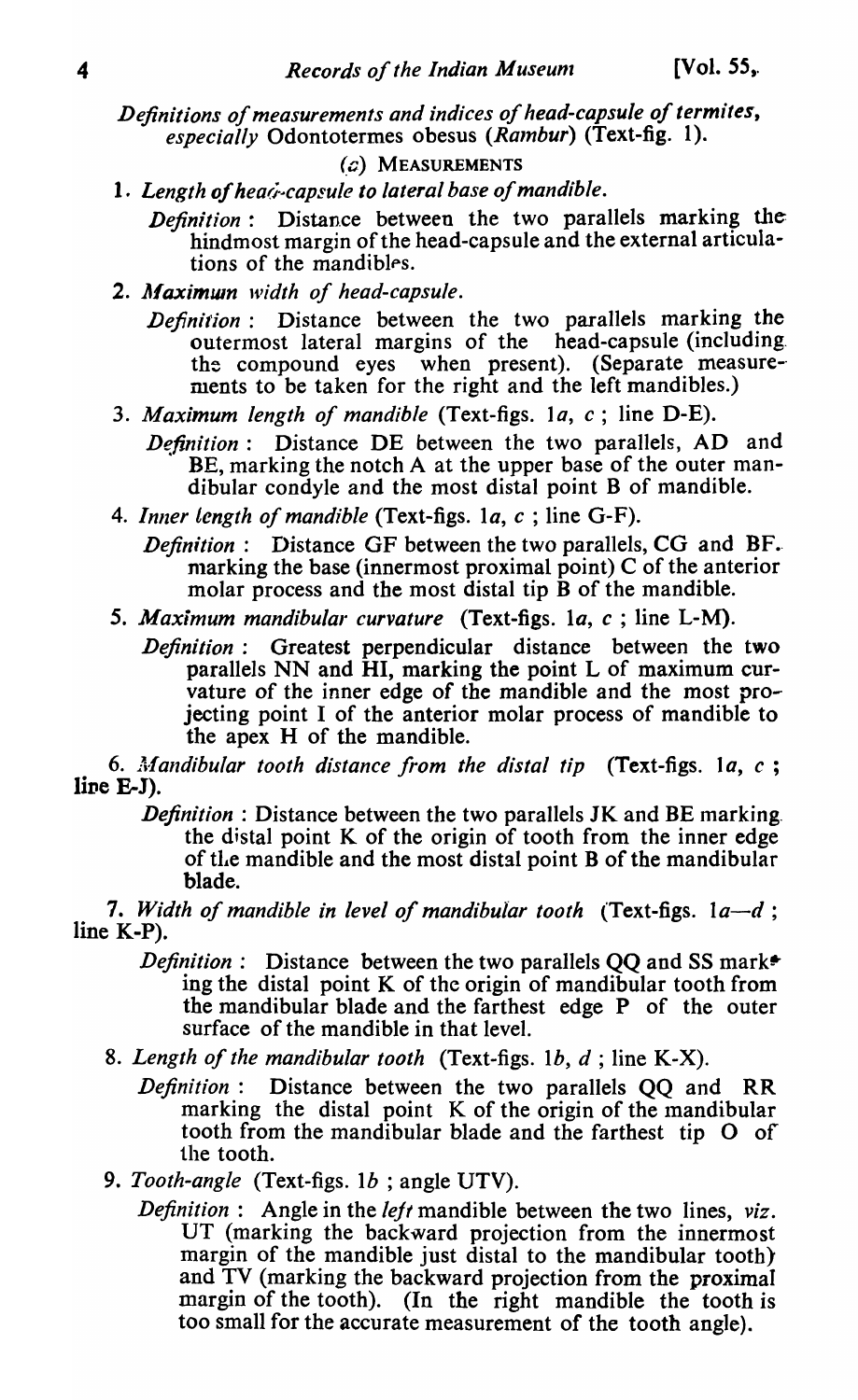*Definitions of measurements and indices of head-capsule of termites,*  especially Odontotermes obesus *(Rambur)* (Text-fig. 1).

## (c) MEASUREMENTS

1. Length of hea*i*-capsule to lateral base of mandible.

*Definition:* Distance between the two parallels marking the hindmost margin of the head-capsule and the external articulations of the mandibles.

- 2. Maximun width of head-capsule.
	- *Definition:* Distance between the two parallels marking the outermost lateral margins of the head-capsule (including. the compound eyes when present). (Separate measurements to be taken for the right and the left mandibles.)
- *3. Maximum length of mandible* (Text-figs. *la, c;* line D-E).

*Definition*: Distance DE between the two parallels, AD and BE, marking the notch A at the upper base of the outer mandibular condyle and the most distal point B of mandible.

4. *Inller length of mandible* (Text-figs. *la, c* ; line G-F).

*Definition*: Distance GF between the two parallels, CG and BF. marking the base (innermost proximal point)  $C$  of the anterior molar process and the most distal tip B of the mandible.

- *5. Maximum mandibular curvature* (Text-figs. la, *c* ; line L-M).
	- *Definition:* Greatest perpendicular distance between the two parallels NN and HI, marking the point L of maximum curvature of the inner edge of the mandible and the most projecting point I of the anterior molar process of mandible to the apex H of the mandible.

6. Af *andibular tooth distance from the distal tip* (Text-figs. 1 *a, c ;*   $line E-J$ ).

*Definition* : Distance between the two parallels JK and BE marking. the distal point K of the origin of tooth from the inner edge of tIle mandible and the most distal point B of the mandibular blade.

*7. Width of mandible in level of mandibular tooth* (Text-figs. *la-d;*  line K-P).

- *Definition*: Distance between the two parallels QQ and SS mark<sup>\*</sup> ing the distal point K of the origin of mandibular tooth from the mandibular blade and the farthest edge P of the outer surface of the mandible in that leve1.
- 8. *Length of the mandibular tooth* (Text-figs. Ib, *d* ; line K-X).
	- *Definition:* Distance between the two parallels QQ and RR marking the distal point  $K$  of the origin of the mandibular tooth from the mandibular blade and the farthest tip  $O$  of the tooth.
- 9. *Tooth-angle* (Text-figs. *Ib* ; angle UTV).
	- *Definition:* Angle in the *left* mandible between the two lines, *viz.*  UT (marking the backward projection from the innermost margin of the mandible just distal to the mandibular tooth) and TV (marking the backward projection from the proximal margin of the tooth). (In the right mandible the tooth is too small for the accurate measurement of the tooth angle).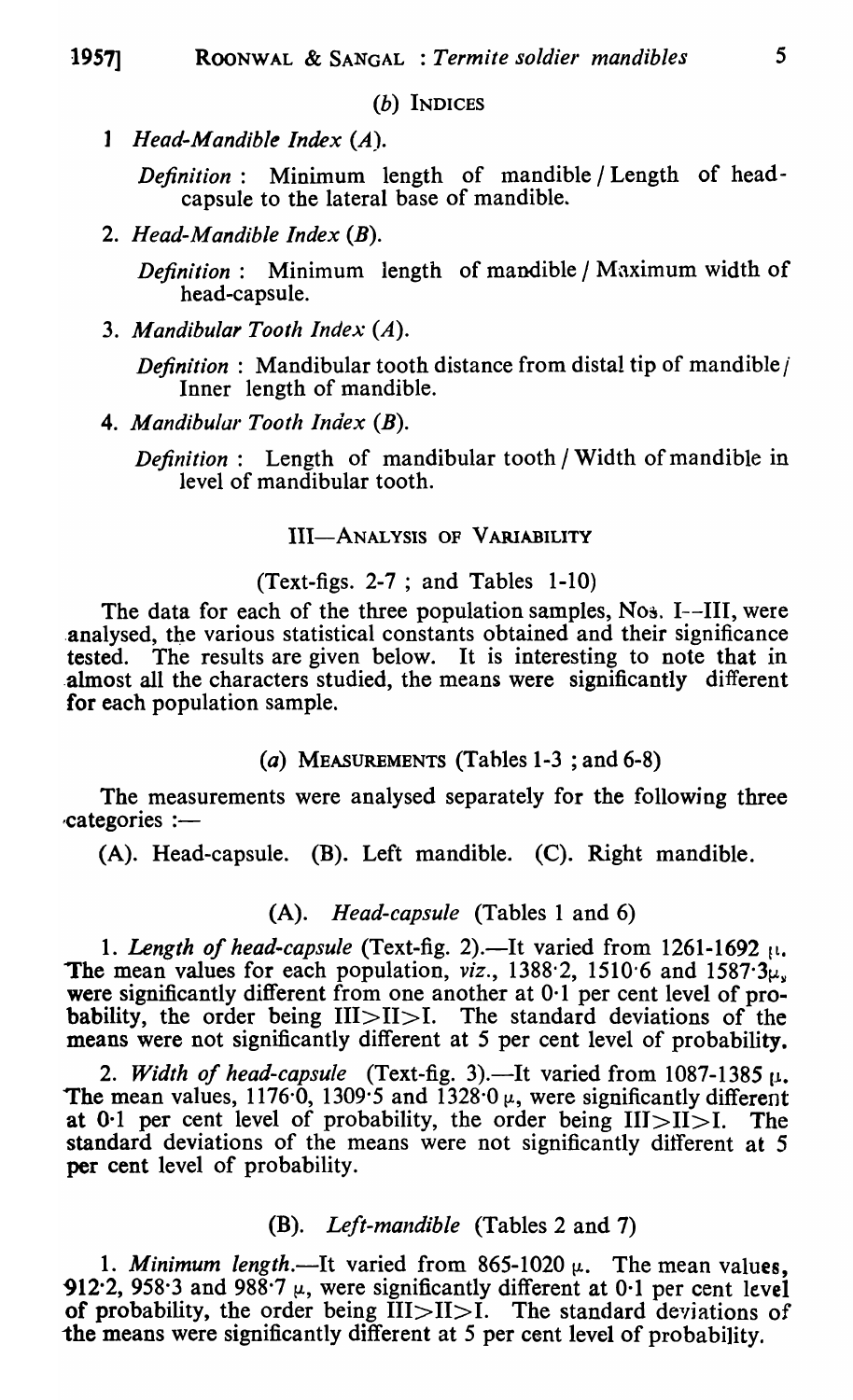(b) INDICES

1 *Head-Mandible Index (A).* 

*Definition:* Minimum length of mandible / Length of headcapsule to the lateral base of mandible.

2. *Head-Mandible Index* (B).

*Definition:* Minimum length of mandible / Maximum width of head-capsule.

3. *Mandibular Tooth Index* (A).

*Definition* : Mandibular tooth distance from distal tip of mandible *i* Inner length of mandible.

4. *Mandibular Tooth Index* (B).

*Definition:* Length of mandibular tooth / Width of mandible in level of mandibular tooth.

# III-ANALYSIS OF VARIABILITY

# (Text-figs. 2-7 ; and Tables 1-10)

The data for each of the three population samples,  $N_{0.3}$ . I--III, were analysed, the various statistical constants obtained and their significance tested. The results are given below\_ It is interesting to note that in .almost all the characters studied, the means were significantly different for each population sample.

# (a) MEASUREMENTS (Tahles 1-3 ; and 6-8)

The measurements were analysed separately for the following three categories :-

 $(A)$ . Head-capsule. (B). Left mandible. (C). Right mandible.

# (A). *Head-capsule* (Tables 1 and 6)

1. Length of head-capsule (Text-fig. 2).—It varied from 1261-1692 [1. The mean values for each population,  $viz.$ , 1388<sup> $\cdot$ </sup>2, 1510 $\cdot$ 6 and 1587 $\cdot$ 3 $\mu$ were significantly different from one another at 0.1 per cent level of probability, the order being III>II>I. The standard deviations of the means were not significantly different at 5 per cent level of probability.

2. *Width of head-capsule* (Text-fig. 3).—It varied from  $1087-1385 \mu$ . The mean values, 1176 $\cdot$ 0, 1309 $\cdot$ 5 and 1328 $\cdot$ 0  $\mu$ , were significantly different at 0.1 per cent level of probability, the order being  $III > II > I$ . The standard deviations of the means were not significantly different at 5 per cent level of probability.

# (B). *Left-mandible* (Tables 2 and 7)

1. Minimum length.—It varied from  $865-1020 \mu$ . The mean values, 912.2, 958.3 and 988.7  $\mu$ , were significantly different at 0.1 per cent level of probability, the order being  $\text{III} > \text{II} > \text{I}$ . The standard deviations of the means were significantly different at 5 per cent level of probability.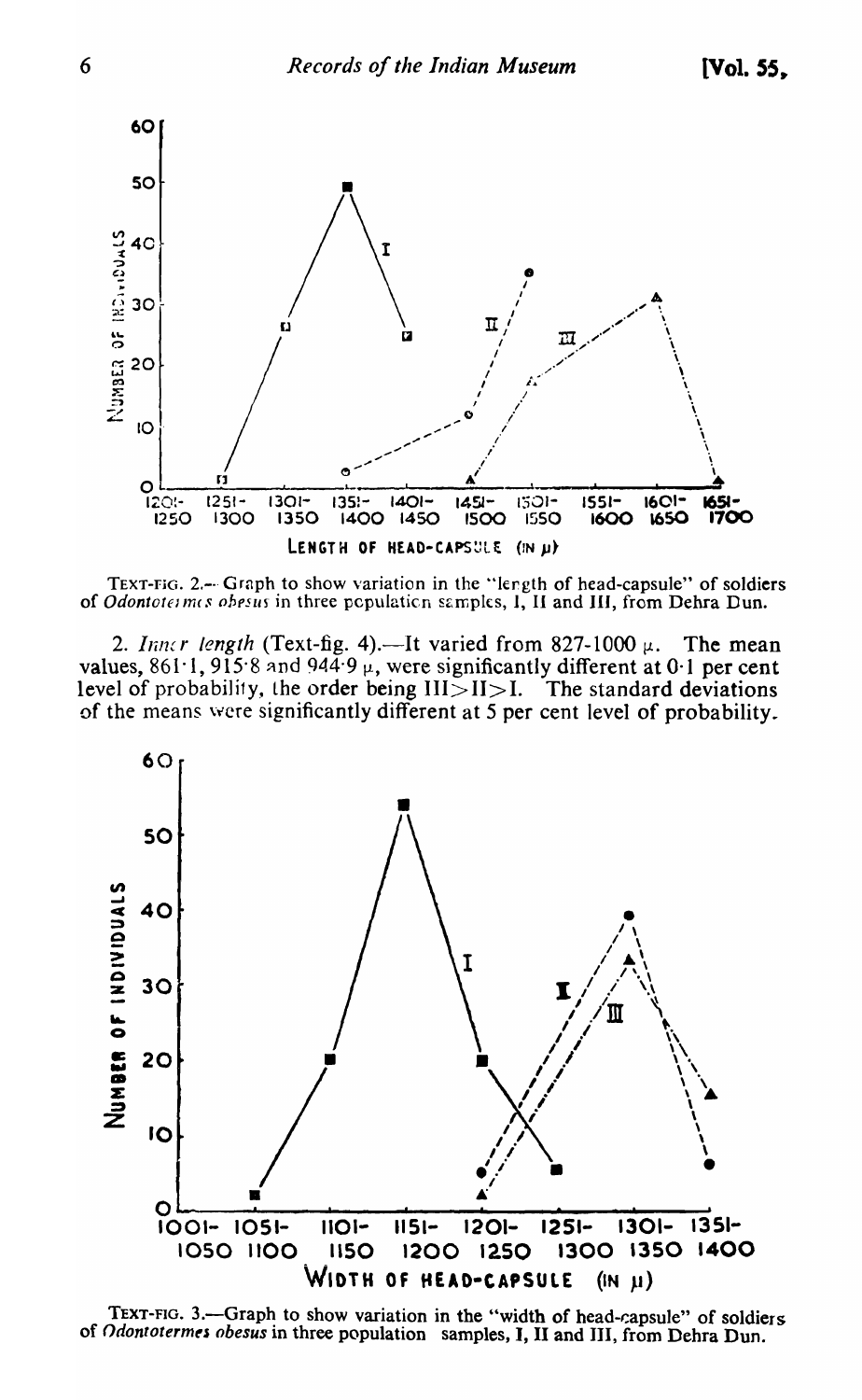

TEXT-FIG. 2.- Graph to show variation in the "length of head-capsule" of soldiers of Odontotermes obesus in three population samples, I, II and III, from Dehra Dun.

2. Inner length (Text-fig. 4).—It varied from 827-1000  $\mu$ . The mean values, 861.1, 915.8 and 944.9  $\mu$ , were significantly different at 0.1 per cent level of probability, the order being  $III > II > I$ . The standard deviations of the means were significantly different at 5 per cent level of probability.



TEXT-FIG. 3.-Graph to show variation in the "width of head-capsule" of soldiers of Odontotermes obesus in three population samples, I, II and III, from Dehra Dun.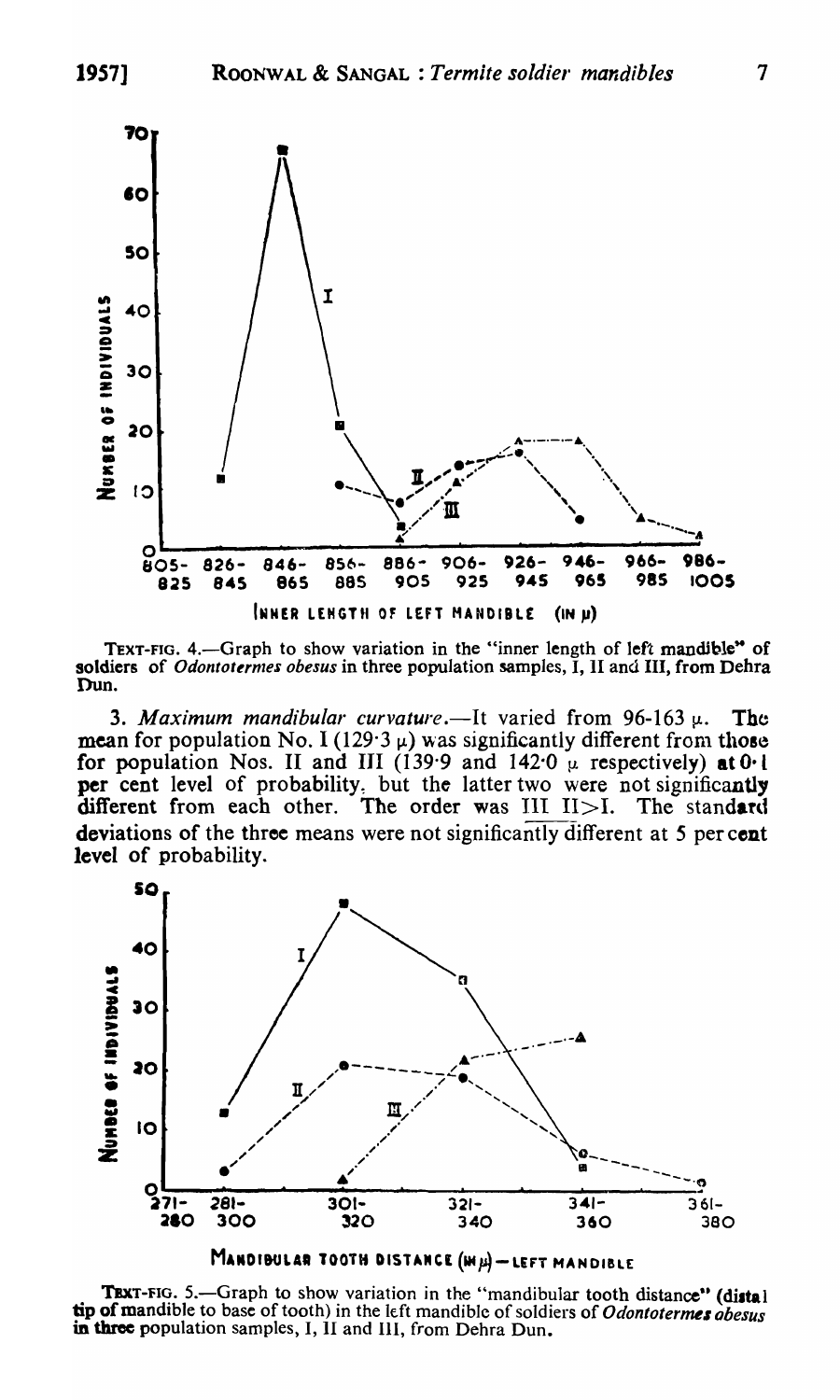

TEXT-FIG. 4.—Graph to show variation in the "inner length of left mandible" of soldiers of Odontotermes obesus in three population samples, I, II and III, from Dehra Dun.

3. Maximum mandibular curvature.—It varied from 96-163  $\mu$ . The mean for population No. I (129.3  $\mu$ ) was significantly different from those for population Nos. II and III (139.9 and 142.0  $\mu$  respectively) at 0.1 per cent level of probability, but the latter two were not significantly different from each other. The order was  $III$   $II > I$ . The standard deviations of the three means were not significantly different at 5 per cent level of probability.



TEXT-FIG. 5.—Graph to show variation in the "mandibular tooth distance" (distal tip of mandible to base of tooth) in the left mandible of soldiers of Odontotermes abesus in three population samples, I, II and III, from Dehra Dun.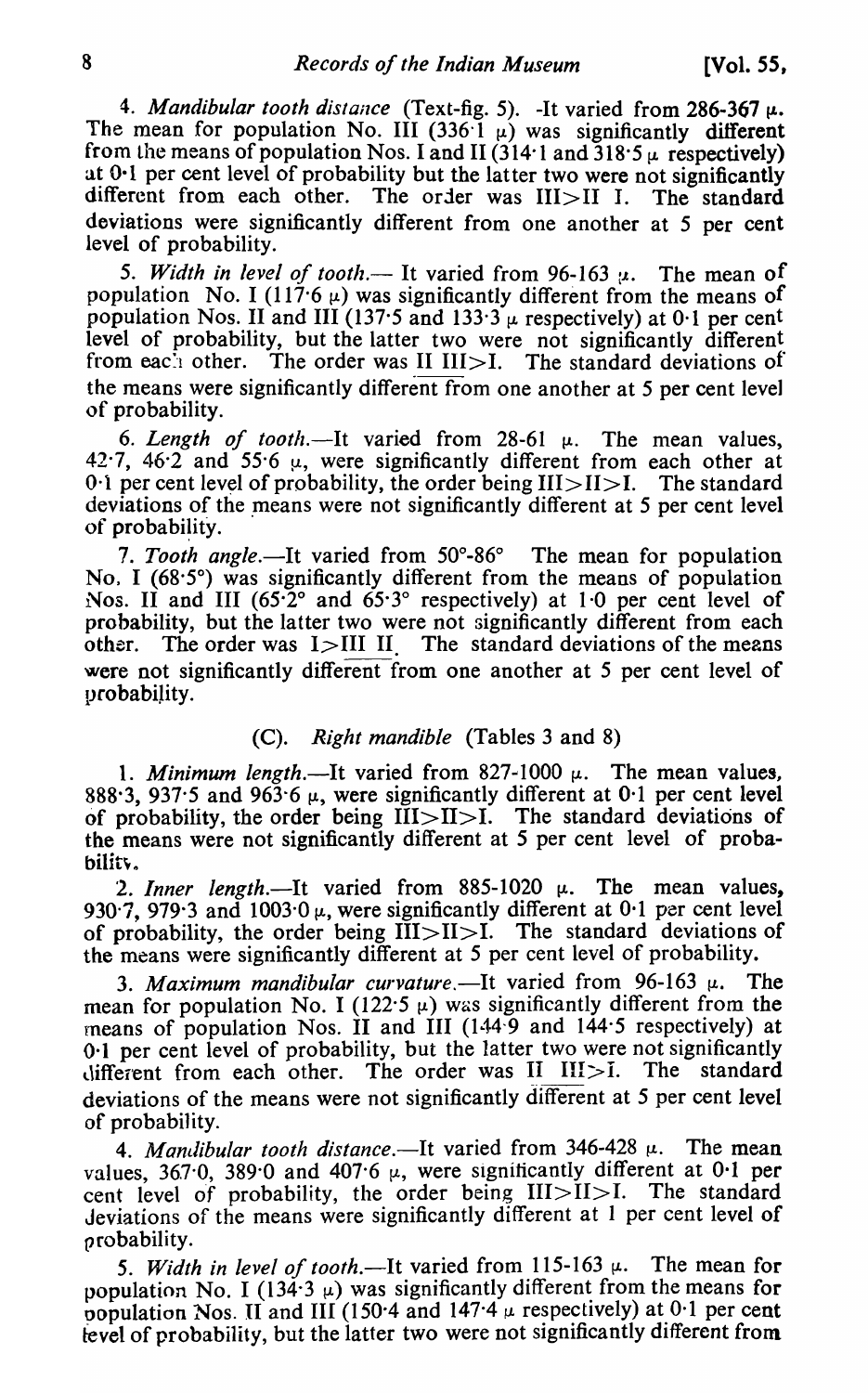4. *Mandibular tooth distance* (Text-fig. 5). -It varied from 286-367  $\mu$ . The mean for population No. III (336  $\overline{1}$   $\mu$ ) was significantly different from the means of population Nos. I and II (314·1 and  $318.5 \mu$  respectively) at  $0.1$  per cent level of probability but the latter two were not significantly different from each other. The order was III>II I. The standard deviations were significantly different from one another at 5 per cent level of probability.

5. Width in level of tooth.— It varied from 96-163  $\mu$ . The mean of population No. I (117.6  $\mu$ ) was significantly different from the means of population Nos. II and III (137.5 and 133.3  $\mu$  respectively) at 0.1 per cent level of probability, but the latter two were not significantly different from each other. The order was II  $III > I$ . The standard deviations of the means were significantly different from one another at 5 per cent level of probability.

6. *Length of tooth*.—It varied from  $28-61$   $\mu$ . The mean values, 42.7, 46.2 and 55.6  $\mu$ , were significantly different from each other at 0.1 per cent level of probability, the order being  $III > II > I$ . The standard deviations of the means were not significantly different at 5 per cent level of probability.

*7\_ Tooth angle.-It* varied from 50°-86° The mean for population No. I  $(68.5^\circ)$  was significantly different from the means of population Nos. II and III (65.2° and 65.3° respectively) at 1.0 per cent level of probability, but the latter two were not significantly different from each other. The order was  $I > III$  II. The standard deviations of the means were not significantly different from one another at 5 per cent level of probabiJity.

#### (C)\_ *Right mandible* (Tables 3 and 8)

1. *Minimum length*.—It varied from  $827-1000 \mu$ . The mean values, 888.3, 937.5 and 963.6  $\mu$ , were significantly different at 0.1 per cent level of probability, the order being III>II>I. The standard deviations of the means were not significantly different at 5 per cent level of probability.

2. *Inner length*.—It varied from  $885-1020 \mu$ . The mean values. 930.7, 979.3 and 1003.0  $\mu$ , were significantly different at 0.1 per cent level of probability, the order being  $III > II > I$ . The standard deviations of the means were significantly different at 5 per cent level of probability.

3. *Maximum mandibular curvature*.—It varied from  $96-163~\mu$ . The mean for population No. I (122.5  $\mu$ ) was significantly different from the means of population Nos.  $\hat{I}I$  and  $\hat{I}II$  (144 $\hat{I}9$  and 144 $\hat{I}5$  respectively) at 0·1 per cent level of probability, but the latter two were not significantly different from each other. The order was  $II$   $III > I$ . The standard deviations of the means were not significantly different at 5 per cent level of probability.

4. *Mandibular tooth distance*.—It varied from  $346-428 \mu$ . The mean values, 367.0, 389.0 and 407.6  $\mu$ , were significantly different at 0.1 per cent level of probability, the order being  $III > II > I$ . The standard Jeviations of the means were significantly different at 1 per cent level of probability.

5. Width in level of tooth.—It varied from  $115-163 \mu$ . The mean for population No. I (134.3  $\mu$ ) was significantly different from the means for population Nos. II and III (150.4 and 147.4  $\mu$  respectively) at 0.1 per cent tevel of probability, but the latter two were not significantly different from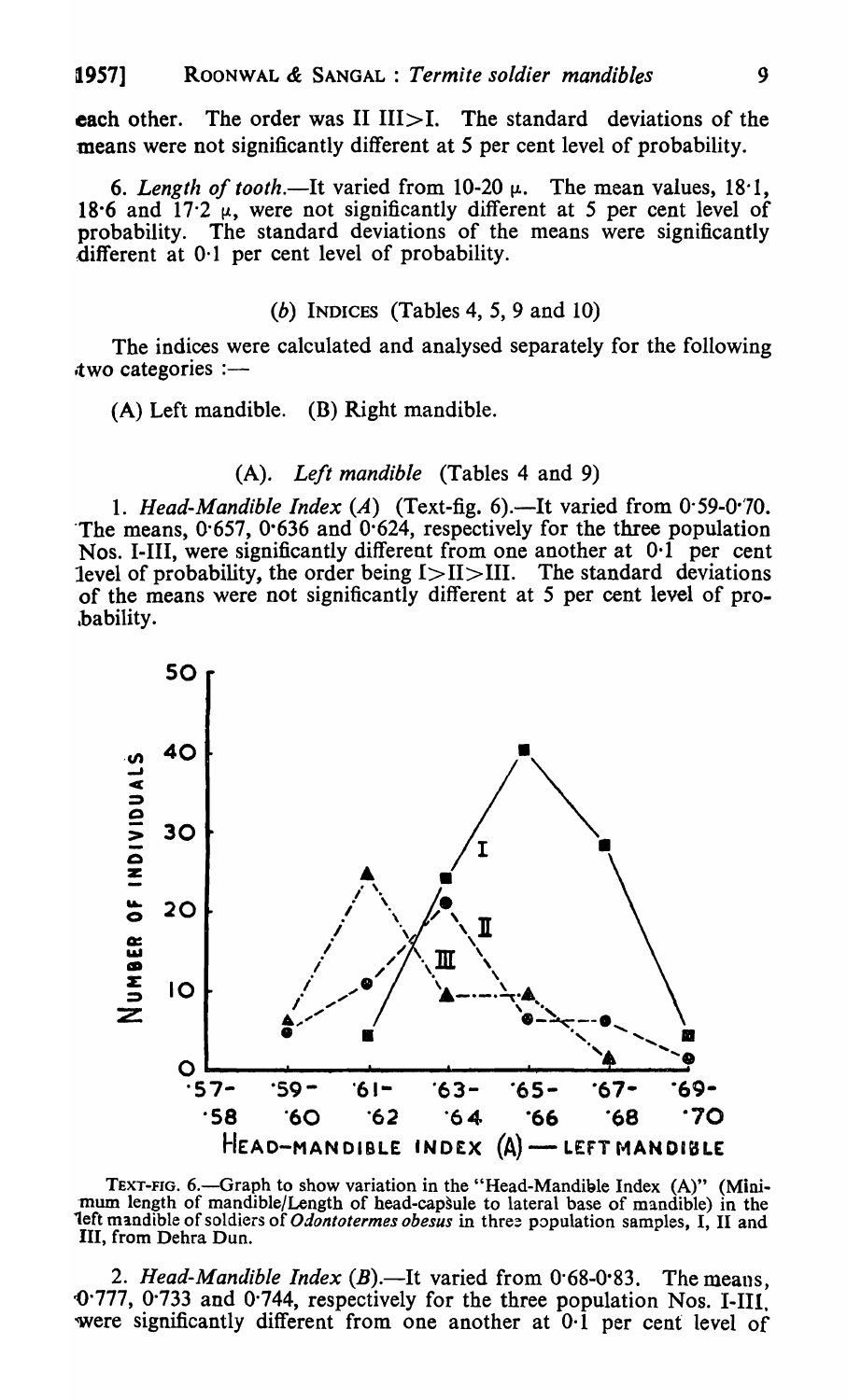each other. The order was II  $III > I$ . The standard deviations of the means were not significantly different at 5 per cent level of probability.

6. Length of tooth.—It varied from  $10\n-20$   $\mu$ . The mean values,  $18\n-1$ , 18.6 and  $17.2 \mu$ , were not significantly different at 5 per cent level of probability. The standard deviations of the means were significantly different at 0·1 per cent level of probability.

# (b) INDICES (Tables 4, 5, 9 and 10)

The indices were calculated and analysed separately for the following  $two$  categories :—

(A) Left mandible. (B) Right mandible.

# (A). *Left mandible* (Tables 4 and 9)

1. *Head-Mandible Index* (A) (Text-fig. 6).—It varied from 0.59-0.70. The means,  $0.657$ ,  $0.636$  and  $0.624$ , respectively for the three population Nos. I-III, were significantly different from one another at  $0.1$  per cent level of probability, the order being  $I > II > III$ . The standard deviations of the means were not significantly different at 5 per cent level of pro. &bability.



TEXT-FIG. 6.—Graph to show variation in the "Head-Mandible Index (A)" (Mini-<br>mum length of mandible/Length of head-capsule to lateral base of mandible) in the left mandible of soldiers of *Odontotermes obesus* in three population samples, I, II and III, from Dehra Dun.

2. *Head-Mandible Index*  $(B)$ . It varied from  $0.68 - 0.83$ . The means, ()'777, 0'733 and 0'744, respectively for the three population Nos. I-Ill. 'Were significantly different from one another at 0·1 per cent level of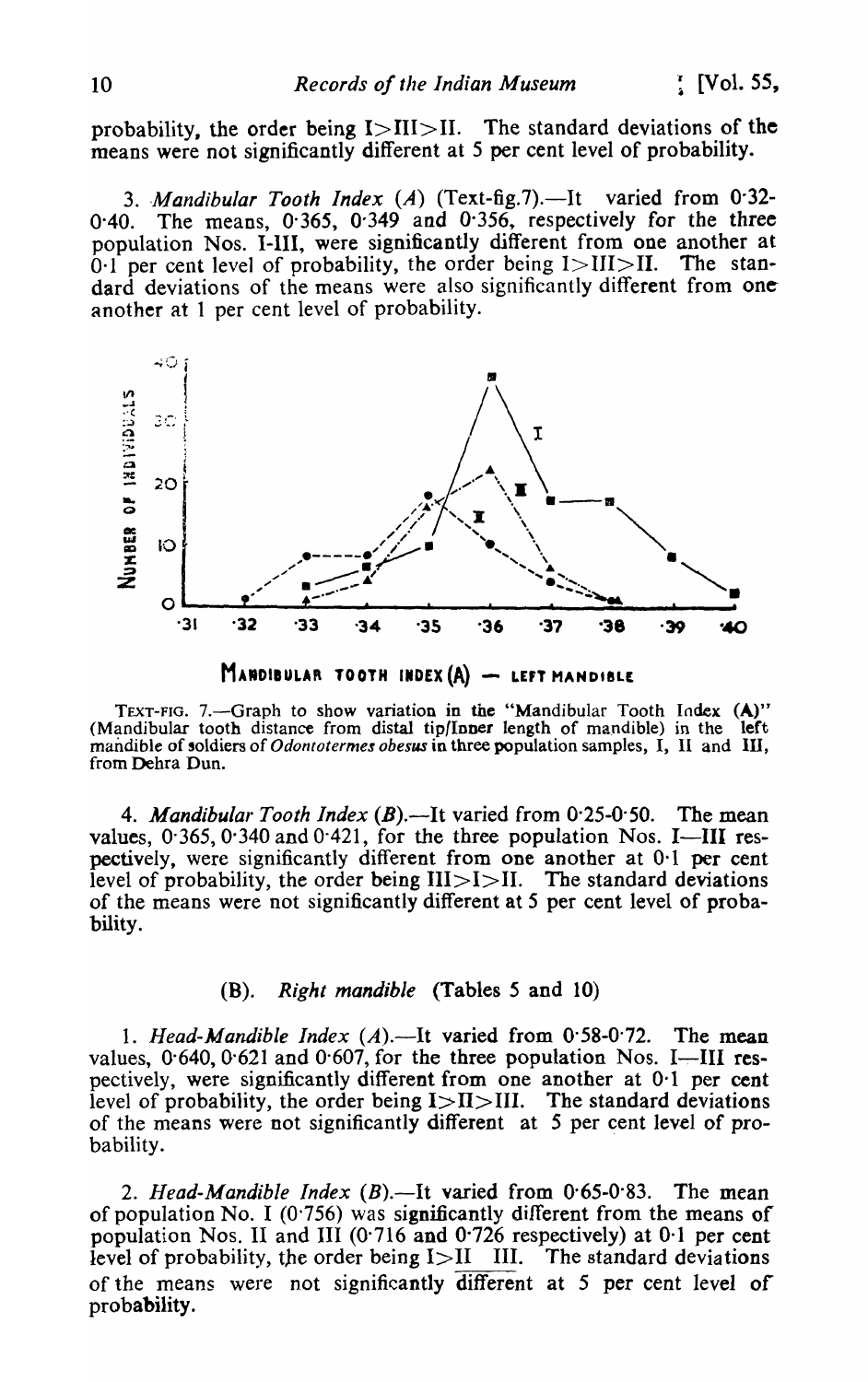probability, the order being  $I > II I > II$ . The standard deviations of the means were not significantly different at 5 per cent level of probability.

3. Mandibular Tooth Index (A) (Text-fig.7).-It varied from 0.32-The means, 0.365, 0.349 and 0.356, respectively for the three  $0.40.$ population Nos. I-III, were significantly different from one another at  $0.1$  per cent level of probability, the order being  $1 > II1 > II$ . The standard deviations of the means were also significantly different from one another at 1 per cent level of probability.





TEXT-FIG. 7.—Graph to show variation in the "Mandibular Tooth Index  $(A)$ "<br>(Mandibular tooth distance from distal tip/Inner length of mandible) in the left<br>mandible of soldiers of *Odontotermes obesus* in three population from Dehra Dun.

4. Mandibular Tooth Index (B).—It varied from  $0.25{\text -}0.50$ . The mean values,  $0.365$ ,  $0.340$  and  $0.421$ , for the three population Nos. I-III respectively, were significantly different from one another at 0.1 per cent level of probability, the order being  $III > I > II$ . The standard deviations of the means were not significantly different at 5 per cent level of probability.

## (B). Right mandible (Tables 5 and 10)

1. Head-Mandible Index  $(A)$ . ---It varied from 0.58-0.72. The mean values,  $0.640$ ,  $0.621$  and  $0.607$ , for the three population Nos. I-III respectively, were significantly different from one another at 0.1 per cent level of probability, the order being  $I > II > II$ . The standard deviations of the means were not significantly different at 5 per cent level of probability.

2. Head-Mandible Index  $(B)$ .—It varied from  $0.65 - 0.83$ . The mean of population No. I ( $0.756$ ) was significantly different from the means of population Nos. II and III (0.716 and 0.726 respectively) at 0.1 per cent level of probability, the order being  $I > II$  III. The standard deviations of the means were not significantly different at 5 per cent level of probability.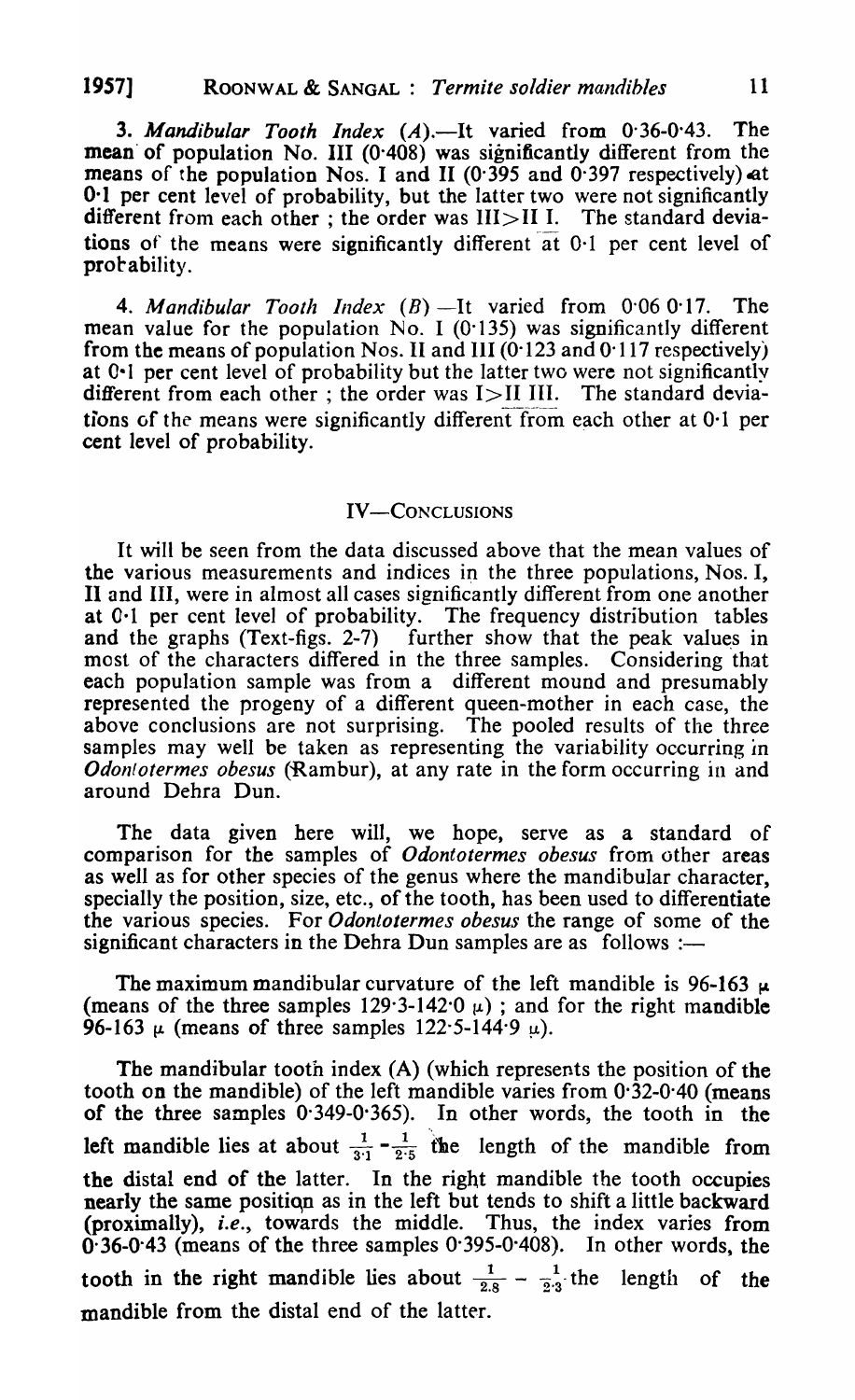**3. Mandibular Tooth Index (A).—It varied from 0.36-0.43. The** mean' of population No. III (0-408) was significantly different from the means of the population Nos. I and II ( $0.395$  and  $0.397$  respectively) at 0·1 per cent level of probability, but the latter two were not significantly different from each other; the order was  $III > II$  I. The standard deviations of the means were significantly different at  $0.1$  per cent level of probability.

4. Mandibular Tooth Index  $(B)$  -It varied from 0.06 0.17. The mean value for the population  $No. I (0.135)$  was significantly different from the means of population Nos. II and III  $(0.123 \text{ and } 0.117 \text{ respectively})$ at 0-1 per cent level of probability but the latter two were not significantly different from each other; the order was  $I > II$  III. The standard deviations of the means were significantly different from each other at  $0<sup>1</sup>$  per cent level of probability.

#### IV-CONCLUSIONS

It will be seen from the data discussed above that the mean values of the various measurements and indices in the three populations, Nos. I, II and III, were in almost all cases significantly different from one another at 0-1 per cent level of probability. The frequency distribution tables and the graphs (Text-figs. 2-7) further show that the peak values in most of the characters differed in the three samples. Considering that each population sample was from a different mound and presumably represented the progeny of a different queen-mother in each case, the above conclusions are not surprising. The pooled results of the three samples may well be taken as representing the variability occurring in *Odontotermes obesus* (Rambur), at any rate in the form occurring in and around Dehra Dun.

The data given here will, we hope, serve as a standard of comparison for the samples of *Odontotermes obesus* from other areas as well as for other species of the genus where the mandibular character, specially the position, size, etc., of the tooth, has been used to differentiate the various species. For *Odonlotermes obesus* the range of some of the significant characters in the Dehra Dun samples are as follows :-

The maximum mandibular curvature of the left mandible is 96-163  $\mu$ (means of the three samples  $129.3 - 142.0 \mu$ ); and for the right mandible 96-163  $\mu$  (means of three samples 122.5-144.9  $\mu$ ).

The mandibular tooth index (A) (which represents the position of the tooth on the mandible) of the left mandible varies from 0·32-0'40 (means of the three samples 0'349-0-365). In other words, the tooth in the left mandible lies at about  $\frac{1}{3\cdot 1} - \frac{1}{2\cdot 5}$  the length of the mandible from the distal end of the latter. In the right mandible the tooth occupies nearly the same position as in the left but tends to shift a little backward (proximally), *i.e.,* towards the middle. Thus, the index varies from 0·36-0'43 (means of the three samples 0'395-0·408). In other words, the tooth in the right mandible lies about  $\frac{1}{2.8} - \frac{1}{2.3}$  the length of the mandible from the distal end of the latter.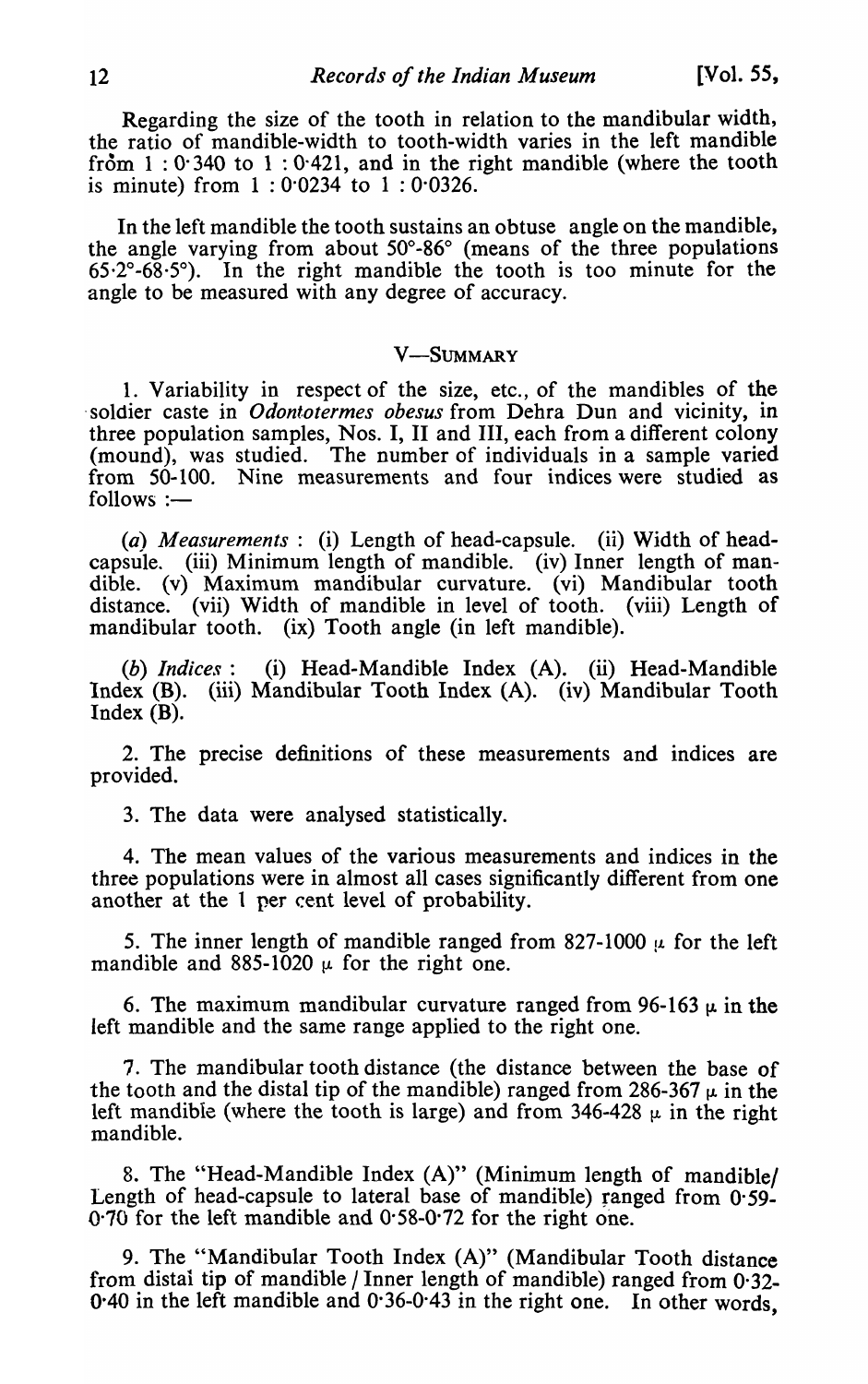Regarding the size of the tooth in relation to the mandibular width, the ratio of mandible-width to tooth-width varies in the left mandible from  $1:0.340$  to  $1:0.421$ , and in the right mandible (where the tooth is minute) from 1 : 0·0234 to 1 : 0·0326.

In the left mandible the tooth sustains an obtuse angle on the mandible, the angle varying from about 50°-86° (means of the three populations  $65.2^{\circ}$ -68.5°). In the right mandible the tooth is too minute for the angle to be measured with any degree of accuracy.

#### V-SUMMARY

1. Variability in respect of the size, etc., of the mandibles of the . soldier caste in *Odontotermes obesus* from Dehra Dun and vicinity, in three population samples, Nos. I, II and III, each from a different colony (mound), was studied. The number of individuals in a sample varied from 50-100. Nine measurements and four indices were studied as  $follows :=$ 

*(a) Measurements:* (i) Length of head-capsule. (ii) Width of headcapsule. (iii) Minimum length of mandible. (iv) Inner length of mandible. (v) Maximum mandibular curvature. (vi) Mandibular tooth distance. (vii) Width of mandible in level of tooth. (viii) Length of mandibular tooth. (ix) Tooth angle (in left mandible).

(b) *Indices*: (i) Head-Mandible Index (A). (ii) Head-Mandible Index (B). (iii) Mandibular Tooth Index (A). (iv) Mandibular Tooth Index (B).

2. The precise definitions of these measurements and indices are provided.

3. The data were analysed statistically.

4. The mean values of the various measurements and indices in the three populations were in almost all cases significantly different from one another at the 1 per cent level of probability.

5. The inner length of mandible ranged from 827-1000  $\mu$  for the left mandible and 885-1020  $\mu$  for the right one.

6. The maximum mandibular curvature ranged from 96-163  $\mu$  in the left mandible and the same range applied to the right one.

7. The mandibular tooth distance (the distance between the base of the tooth and the distal tip of the mandible) ranged from 286-367  $\mu$  in the left mandible (where the tooth is large) and from 346-428  $\mu$  in the right mandible.

8. The "Head-Mandible Index (A)" (Minimum length of mandible/ Length of head-capsule to lateral base of mandible) ranged from 0.59-0.70 for the left mandible and 0.58-0.72 for the right one.

9. The "Mandibular Tooth Index (A)" (Mandibular Tooth distance from distal tip of mandible / Inner length of mandible) ranged from 0·32- 0.40 in the left mandible and  $0.36 - 0.43$  in the right one. In other words,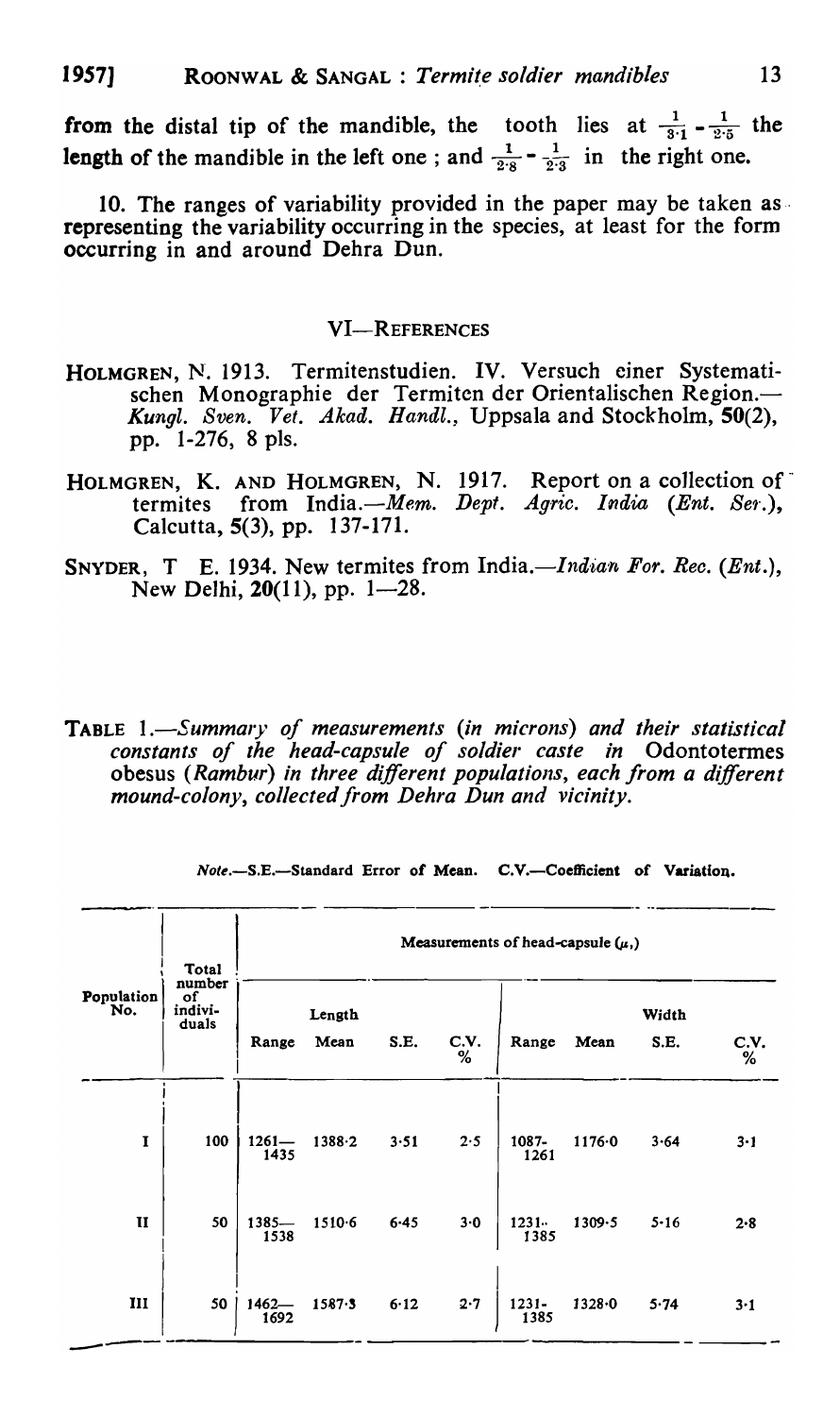from the distal tip of the mandible, the tooth lies at  $\frac{1}{3\cdot 1}$  -  $\frac{1}{2\cdot 5}$  the length of the mandible in the left one; and  $\frac{1}{2.8} - \frac{1}{2.3}$  in the right one.

10. The ranges of variability provided in the paper may be taken asrepresenting the variability occurring in the species, at least for the form occurring in and around Dehra Dun.

#### VI-REFERENCES

- HOLMGREN, N. 1913. Termitenstudien. IV. Versuch einer Systematischen Monographie der Termiten der Orientalischen Region.-*Kungl. Sven. Vet. Akad. Handl.,* Uppsaia and Stockholm, 50(2), pp. 1-276, 8 pIs.
- HOLMGREN, K. AND HOLMGREN, N. 1917. Report on a collection of termites from India.—Mem. Dept. Agric. India (Ent. Ser.), Calcutta, 5(3), pp. 137-171.
- SNYDER, T E. 1934. New termites from India.—*Indian For. Rec.* (*Ent.*), New Delhi,  $20(11)$ , pp. 1-28.
- TABLE *I.-Summary of measurements (in microns) and their statistical constants of the head-capsule of soldier caste in* Odontotennes obesus *(Rambur) in three different populations, each from a different mound-colony, collected/rom Dehra Dun and vicinity.*

|                   | <b>Total</b>                     | Measurements of head-capsule $(\mu, )$ |                |          |              |                  |        |               |           |  |  |  |
|-------------------|----------------------------------|----------------------------------------|----------------|----------|--------------|------------------|--------|---------------|-----------|--|--|--|
| Population<br>No. | number<br>of<br>indivi-<br>duals | Range                                  | Length<br>Mean | S.E.     | C.V.<br>$\%$ | Range            | Mean   | Width<br>S.E. | C.V.<br>% |  |  |  |
| $\mathbf{I}$      | 100                              | $1261 -$<br>1435                       | $1388 - 2$     | 3.51     | 2.5          | $1087 -$<br>1261 | 1176.0 | 3.64          | $3 - 1$   |  |  |  |
| $\mathbf{I}$      | 50                               | $1385 -$<br>1538                       | $1510-6$       | $6 - 45$ | $3-0$        | $1231 -$<br>1385 | 1309.5 | $5 - 16$      | 2.8       |  |  |  |
| $\mathbf{III}$    | 50                               | $1462 -$<br>1692                       | 1587.3         | 6.12     | 2.7          | $1231 -$<br>1385 | 1328.0 | 5.74          | $3-1$     |  |  |  |

*Note.-S.E.-Standard* Error *ot* Mean. C.V.-Coefficient of Variation.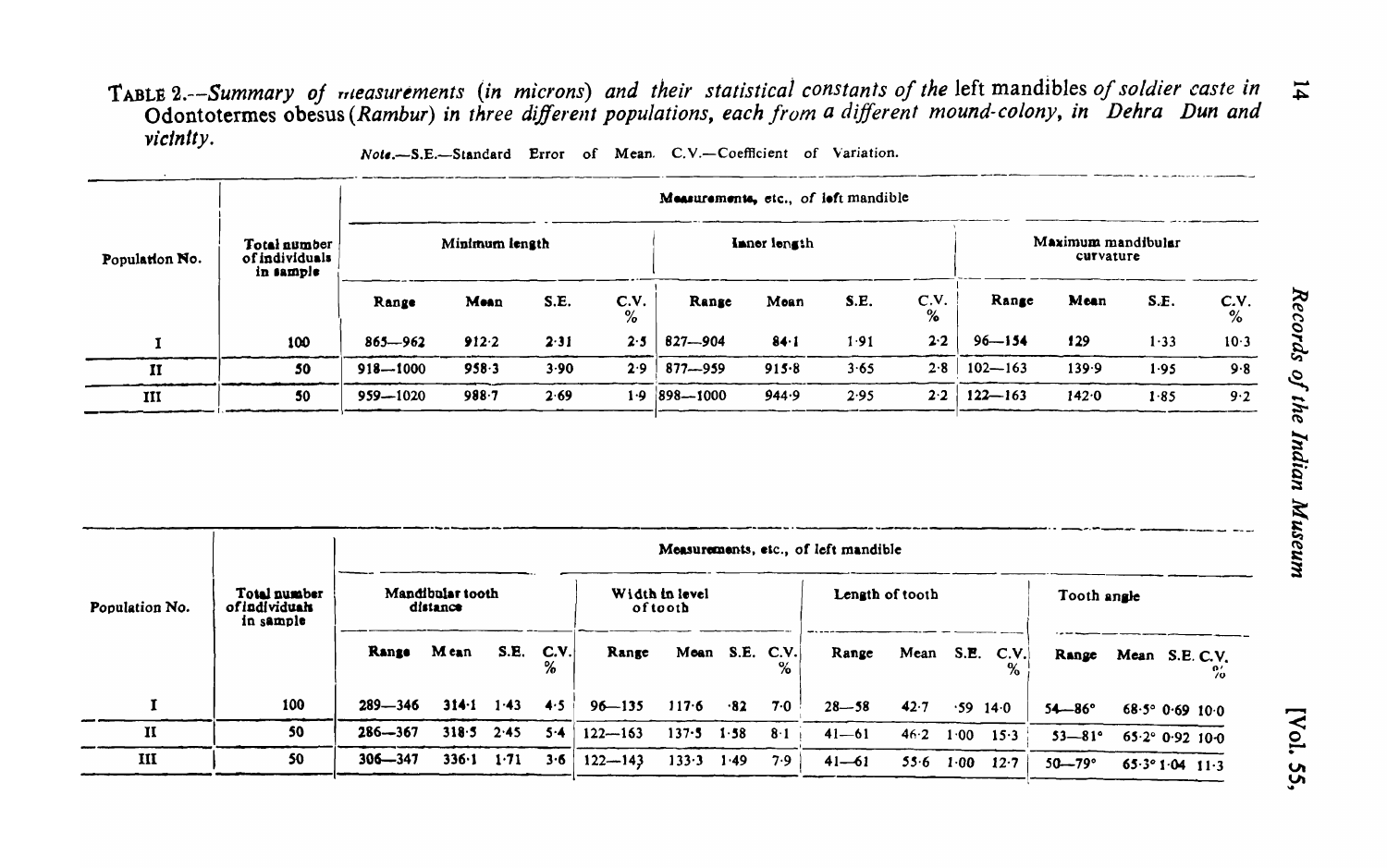# TABLE 2.--Summary of measurements (in microns) and their statistical constants of the left mandibles of soldier caste in<br>Odontotermes obesus (Rambur) in three different populations, each from a different mound-colony, in D vicinity.

Note.-S.E.-Standard Error of Mean. C.V.-Coefficient of Variation.

|                |                                             | Measurements, etc., of left mandible |                |      |              |                |           |      |           |                                 |       |      |              |  |
|----------------|---------------------------------------------|--------------------------------------|----------------|------|--------------|----------------|-----------|------|-----------|---------------------------------|-------|------|--------------|--|
| Population No. | Total number<br>of individuals<br>in sample |                                      | Minimum length |      | Inner length |                |           |      |           | Maximum mandibular<br>curvature |       |      |              |  |
|                |                                             | Range                                | Mean           | S.E. | C.V.<br>%    | Range          | Mean      | S.E. | C.V.<br>% | Range                           | Mean  | S.E. | C.V.<br>$\%$ |  |
|                | 100                                         | $865 - 962$                          | 912.2          | 2.31 | 2.5          | 827-904        | $84 - 1$  | 1.91 | 2.2       | $96 - 154$                      | 129   | 1.33 | 10.3         |  |
| 11             | 50                                          | $918 - 1000$                         | 958.3          | 3.90 | 2.9          | $877 - 959$    | $915 - 8$ | 3.65 | 2.8       | $102 - 163$                     | 139.9 | 1.95 | 9.8          |  |
| III            | 50                                          | 959-1020                             | 988.7          | 2.69 | 1·9          | $ 898 - 1000 $ | 944.9     | 2.95 | 2.2       | $122 - 163$                     | 142.0 | 1.85 | 9.2          |  |

|                |                                            |             |                              |      |      | Measurements, etc., of left mandible |                            |                |             |           |                 |      |                  |                   |                          |    |
|----------------|--------------------------------------------|-------------|------------------------------|------|------|--------------------------------------|----------------------------|----------------|-------------|-----------|-----------------|------|------------------|-------------------|--------------------------|----|
| Population No. | Total number<br>ofindividuals<br>in sample |             | Mandibular tooth<br>distance |      |      |                                      | Width in level<br>of tooth |                |             |           | Length of tooth |      |                  | Tooth angle       |                          |    |
|                |                                            | Range       | M ean                        | S.E. | C.V. | Range                                |                            | Mean S.E. C.V. |             | Range     |                 |      | Mean S.E. $C.V.$ | Range             | Mean S.E. C.V.           | 70 |
|                | 100                                        | $289 - 346$ | 314.1                        | 1.43 | 4.5  | $96 - 135$                           | $117 - 6$                  | $\cdot$ 82     | 7.0         | $28 - 58$ | 42.7            | .59  | 14.0             | $54 - 86^{\circ}$ | $68.5^{\circ}$ 0.69 10.0 |    |
| $\mathbf{I}$   | 50                                         | $286 - 367$ | 318.5                        | 2.45 | 5.4  | $122 - 163$                          | $137 - 5$                  | 1.58           | $8 \cdot 1$ | $41 - 61$ | 46.2            | 1.00 | 15.3             | $53 - 81^{\circ}$ | $65.2^{\circ}$ 0.92 10.0 |    |
| III            | 50                                         | $306 - 347$ | 336·1                        | 1.71 | 3.6  | $122 - 143$                          | 133.3                      | 1.49           | 7.9         | $41 - 61$ | 55.6            | 1.00 | 12.7             | $50 - 79$ °       | $65.3^{\circ}1.04$ 11.3  |    |

[Vol. 55,

 $\overline{1}$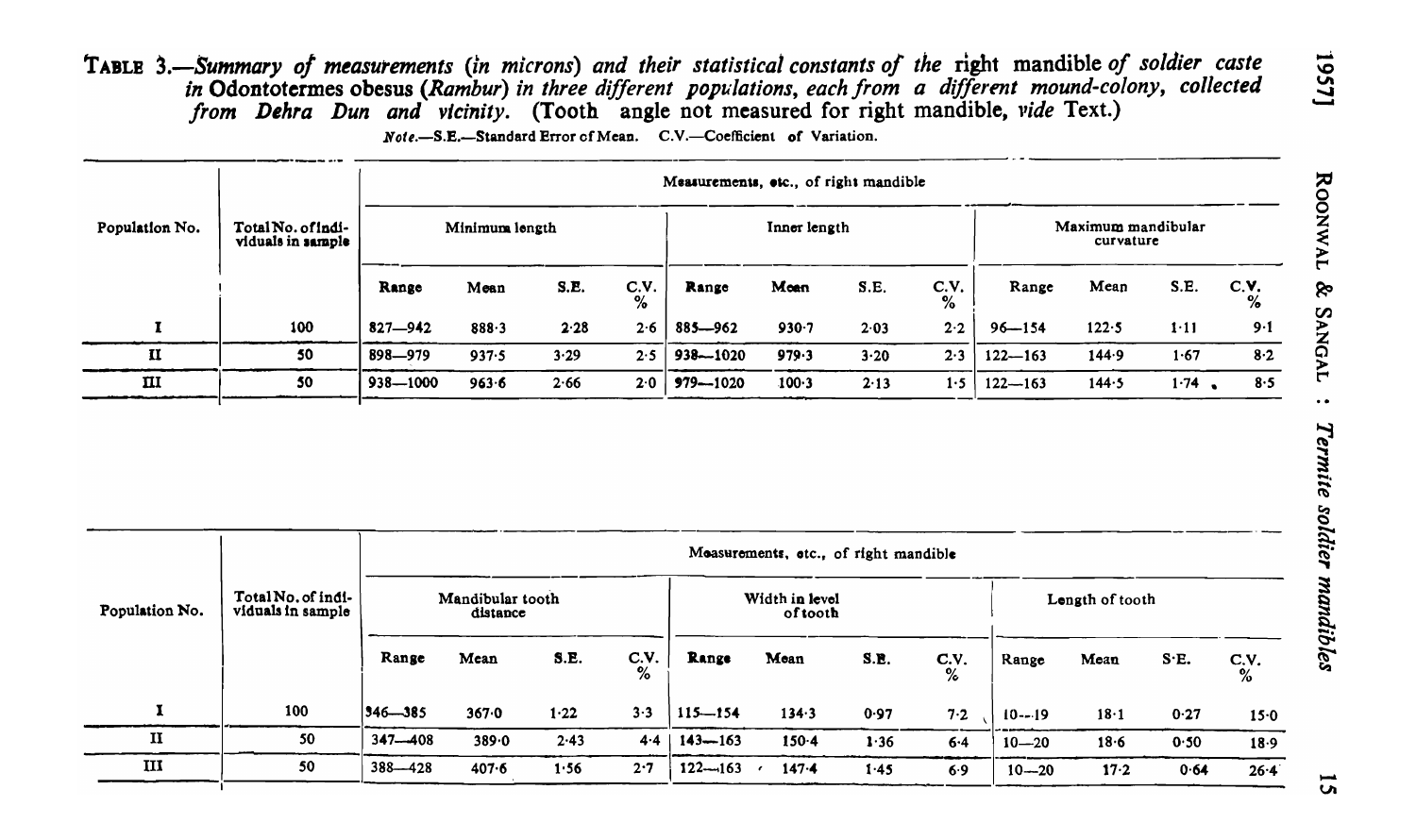TABLE 3.-Summary of measurements (in microns) and their statistical constants of the right mandible of soldier caste in Odontotermes obesus (Rambur) in three different populations, each from a different mound-colony, collected<br>from Dehra Dun and vicinity. (Tooth angle not measured for right mandible, vide Text.)

Note.-S.E.-Standard Error of Mean. C.V.-Coefficient of Variation.

|                |                                         | Measurements, etc., of right mandible |                |      |           |              |              |      |           |                                 |       |      |           |  |
|----------------|-----------------------------------------|---------------------------------------|----------------|------|-----------|--------------|--------------|------|-----------|---------------------------------|-------|------|-----------|--|
| Population No. | Total No. of indi-<br>viduals in sample |                                       | Minimum length |      |           |              | Inner length |      |           | Maximum mandibular<br>curvature |       |      |           |  |
|                |                                         | Range                                 | Mean           | S.E. | C.V.<br>% | Range        | Moan         | S.E. | C.V.<br>% | Range                           | Mean  | S.E. | C.V.<br>% |  |
|                | 100                                     | $827 - 942$                           | 888.3          | 2.28 | 2.6       | $885 - 962$  | 930.7        | 2.03 | 2.2       | $96 - 154$                      | 122.5 | 1.11 | 9.1       |  |
| п              | 50                                      | 898-979                               | 937.5          | 3.29 | 2.5       | 938-1020     | 979.3        | 3.20 | 2.3       | $122 - 163$                     | 144.9 | 1.67 | $8-2$     |  |
| $\mathbf{I}$   | 50                                      | $938 - 1000$                          | 963.6          | 2.66 | 2.0       | $979 - 1020$ | 100.3        | 2.13 | 1.5       | $122 - 163$                     | 144.5 | 1.74 | 8.5       |  |

|                |                                         |               |                              |      |              |             | Moasurements, etc., of right mandible |      |              |            |                 |      |           |
|----------------|-----------------------------------------|---------------|------------------------------|------|--------------|-------------|---------------------------------------|------|--------------|------------|-----------------|------|-----------|
| Population No. | Total No. of indi-<br>viduals in sample |               | Mandibular tooth<br>distance |      |              |             | Width in level<br>oftooth             |      |              |            | Length of tooth |      |           |
|                |                                         | Range         | Mean                         | S.E. | C.V.<br>$\%$ | Range       | Mean                                  | S.E. | C.V.<br>$\%$ | Range      | Mean            | S.E. | C.V.<br>% |
|                | 100                                     | $ 346 - 385 $ | 367.0                        | 1.22 | $3-3$        | $115 - 154$ | 134.3                                 | 0.97 | 7.2          | $10 - -19$ | 18.1            | 0.27 | $15 - 0$  |
| $\mathbf{I}$   | 50                                      | $347 - 408$   | 389.0                        | 2.43 | 4.4          | $143 - 163$ | $150 - 4$                             | 1.36 | 6.4          | $10 - 20$  | 18·6            | 0.50 | 18.9      |
| III            | 50                                      | $388 - 428$   | $407 - 6$                    | 1.56 | 2.7          | $122 - 163$ | $147 - 4$                             | 1.45 | 6.9          | $10 - 20$  | 17.2            | 0.64 | 26.4      |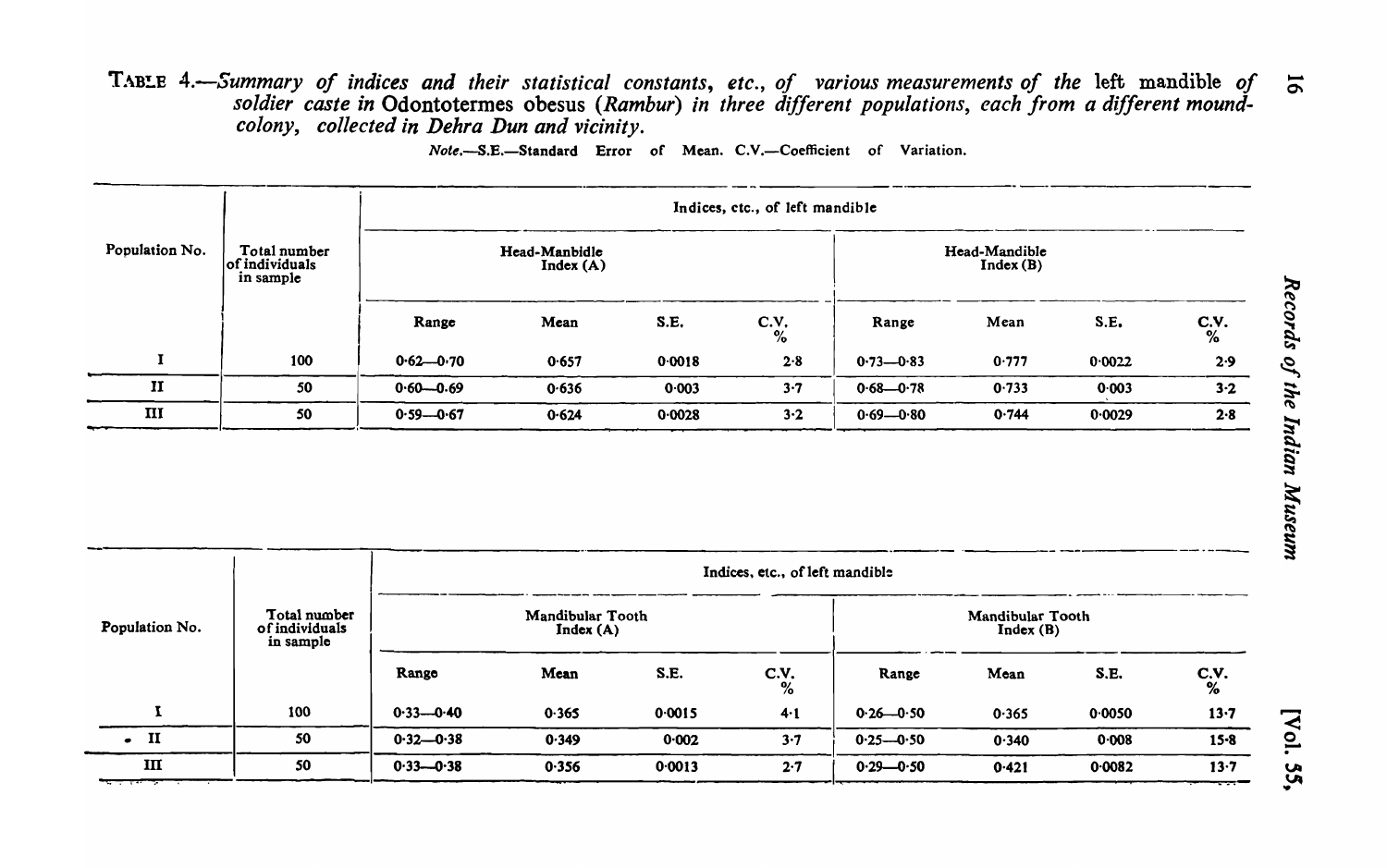TAB!.E *4.-Summary of indices and their statistical constants, etc., of various measurements of the* left mandible *of soldier caste in* Odontotermes obesus *(Rambur) in three different populations, each from a different moundcolony, collected in Dehra Dun and vicinity.* 

Note,-S.E.-Standard Error of Mean. C.V.-Coefficient of Variation.

|                |                                             | Indices, etc., of left mandible |                           |        |                       |               |                           |        |            |  |  |  |  |
|----------------|---------------------------------------------|---------------------------------|---------------------------|--------|-----------------------|---------------|---------------------------|--------|------------|--|--|--|--|
| Population No. | Total number<br>of individuals<br>in sample |                                 | Head-Manbidle<br>Index(A) |        |                       |               | Head-Mandible<br>Index(B) |        |            |  |  |  |  |
|                |                                             | Range                           | Mean                      | S.E.   | C.V.<br>$\frac{1}{2}$ | Range         | Mean                      | S.E.   | $C_{\%}$ . |  |  |  |  |
|                | 100                                         | $0.62 - 0.70$                   | 0.657                     | 0.0018 | 2.8                   | $0.73 - 0.83$ | 0.777                     | 0.0022 | 2.9        |  |  |  |  |
| $\mathbf{I}$   | 50                                          | $0.60 - 0.69$                   | 0.636                     | 0.003  | 3.7                   | $0.68 - 0.78$ | 0.733                     | 0.003  | $3-2$      |  |  |  |  |
| $\mathbf{III}$ | 50                                          | $0.59 - 0.67$                   | 0.624                     | 0.0028 | $3-2$                 | $0.69 - 0.80$ | 0.744                     | 0.0029 | 2.8        |  |  |  |  |

|                |                                             |               |                              |        | Indices, etc., of left mandible |               |                              |        |               |
|----------------|---------------------------------------------|---------------|------------------------------|--------|---------------------------------|---------------|------------------------------|--------|---------------|
| Population No. | Total number<br>of individuals<br>in sample |               | Mandibular Tooth<br>Index(A) |        |                                 |               | Mandibular Tooth<br>Index(B) |        |               |
|                |                                             | Range         | Mean                         | S.E.   | C.V. $\frac{6}{\%}$             | Range         | Mean                         | S.E.   | $C_{\phi_0'}$ |
| I              | 100                                         | $0.33 - 0.40$ | 0.365                        | 0.0015 | $4-1$                           | $0.26 - 0.50$ | 0.365                        | 0.0050 | 13.7          |
| $\blacksquare$ | 50                                          | $0.32 - 0.38$ | 0.349                        | 0.002  | $3 - 7$                         | $0.25 - 0.50$ | 0.340                        | 0.008  | $15 - 8$      |
| Ш              | 50                                          | $0.33 - 0.38$ | 0.356                        | 0.0013 | 2.7                             | $0.29 - 0.50$ | 0.421                        | 0.0082 | 13.7          |

[Voi Vol. 3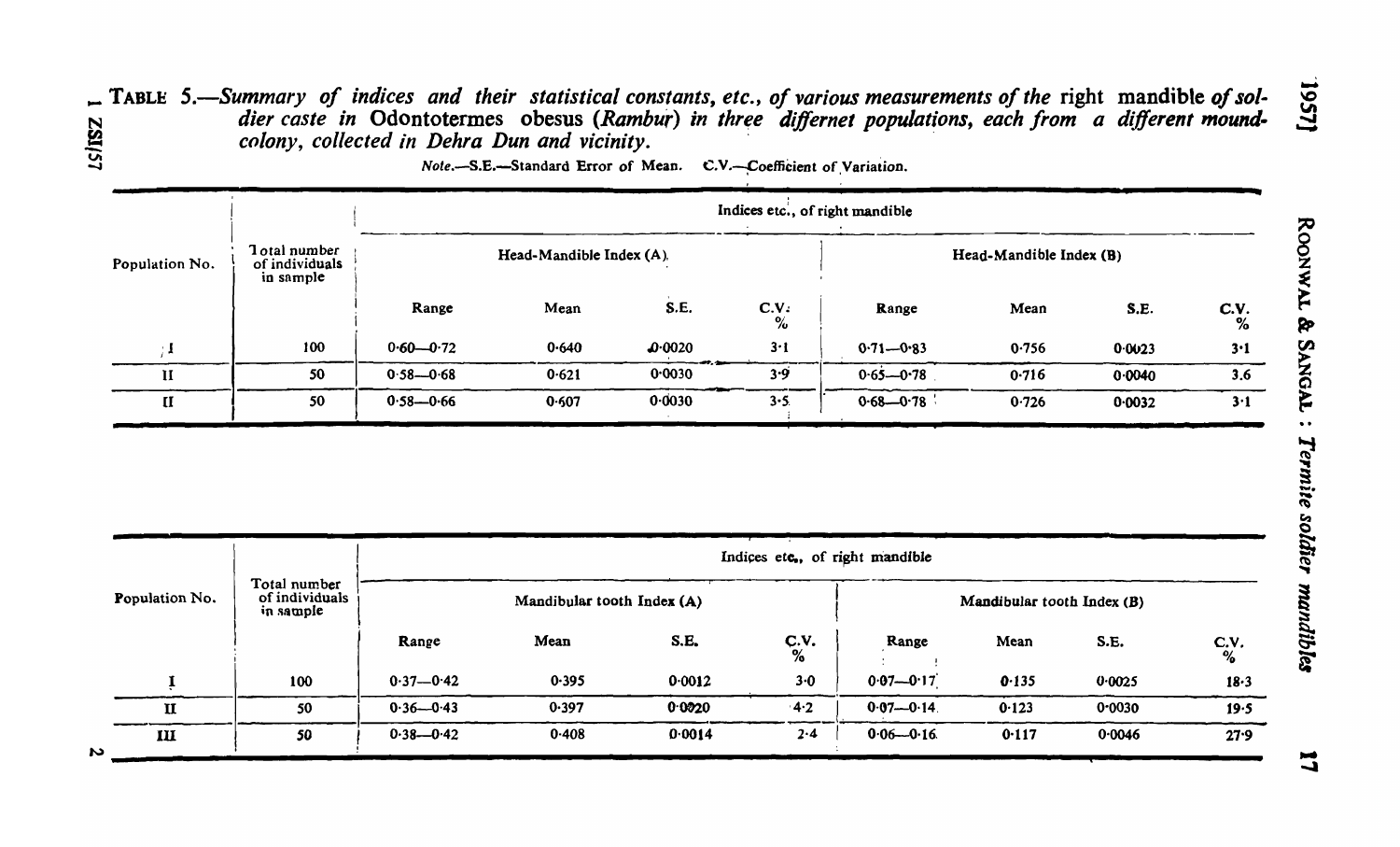# $\Gamma$  TABLE 5.—Summary of indices and their statistical constants, etc., of various measurements of the right mandible of sol-<br>dier caste in Odontotermes obesus (Rambur) in three differnet populations, each from a differen LS/ISZ colony, collected in Dehra Dun and vicinity.

|                |                                              |               |                          |                            | Indices etc., of right mandible |               |                         |        |           |
|----------------|----------------------------------------------|---------------|--------------------------|----------------------------|---------------------------------|---------------|-------------------------|--------|-----------|
| Population No. | 1 otal number<br>of individuals<br>in sample |               | Head-Mandible Index (A). |                            |                                 |               | Head-Mandible Index (B) |        |           |
|                |                                              | Range         | Mean                     | S.E.                       | C.V.<br>%                       | Range         | Mean                    | S.E.   | C.V.<br>% |
|                | 100                                          | $0.60 - 0.72$ | 0.640                    | $\boldsymbol{\omega}$ 0020 | 3·1                             | $0.71 - 0.83$ | 0.756                   | 0.0023 | 3.1       |
| 11             | 50                                           | $0.58 - 0.68$ | 0.621                    | 0.0030                     | 3.9                             | $0.65 - 0.78$ | 0.716                   | 0.0040 | 3.6       |
| П.             | 50                                           | $0.58 - 0.66$ | 0.607                    | 0.0030                     | $3 - 5$                         | $0.68 - 0.78$ | 0.726                   | 0.0032 | 3·1       |

Note.-S.E.-Standard Error of Mean. C.V.-Coefficient of Variation.

|   |                |                                             |               |                            |        |                         | Indices etc., of right mandible |                            |        |                       |
|---|----------------|---------------------------------------------|---------------|----------------------------|--------|-------------------------|---------------------------------|----------------------------|--------|-----------------------|
|   | Population No. | Total number<br>of individuals<br>in sample |               | Mandibular tooth Index (A) |        |                         |                                 | Mandibular tooth Index (B) |        |                       |
|   |                |                                             | Range         | Mean                       | S.E.   | $C_{\%}^{\mathbf{V}}$ . | Range                           | Mean                       | S.E.   | C.V.<br>$\frac{1}{2}$ |
|   |                | 100                                         | $0.37 - 0.42$ | 0.395                      | 0.0012 | $3-0$                   | $0.07 - 0.17$                   | 0.135                      | 0.0025 | 18.3                  |
|   | п              | 50                                          | $0.36 - 0.43$ | 0.397                      | 0.0020 | $-4.2$                  | $0.07 - 0.14$                   | 0.123                      | 0.0030 | 19.5                  |
| N | III            | 50                                          | $0.38 - 0.42$ | 0.408                      | 0.0014 | 2.4                     | $0.06 - 0.16$                   | 0.117                      | 0.0046 | 27.9                  |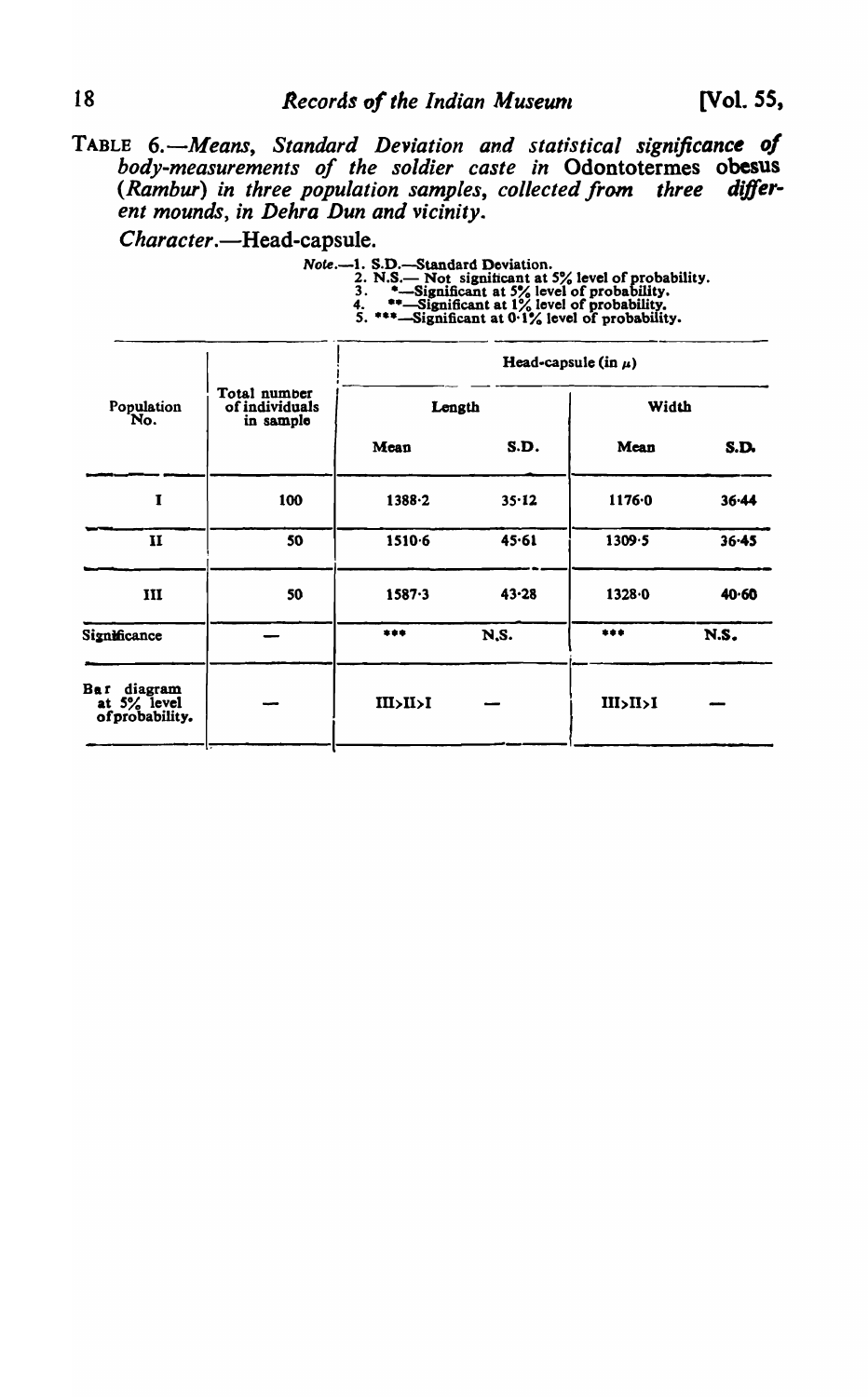[Vol. 55,

TABLE 6.—Means, Standard Deviation and statistical significance of<br>body-measurements of the soldier caste in Odontotermes obesus<br>(Rambur) in three population samples, collected from three differ-<br>ent mounds, in Dehra Dun a

Character.-Head-capsule.

| Note.-1. S.D.-Standard Deviation.                    |
|------------------------------------------------------|
| 2. N.S.— Not significant at 5% level of probability. |
| *-Significant at 5% level of probability.            |
| **-Significant at 1% level of probability.           |
| 5. ***-Significant at 0.1% level of probability.     |

|                                                  |                                             |              |           | Head-capsule (in $\mu$ ) |           |
|--------------------------------------------------|---------------------------------------------|--------------|-----------|--------------------------|-----------|
| Population<br>No.                                | Total number<br>of individuals<br>in sample | Length       |           | Width                    |           |
|                                                  |                                             | Mean         | S.D.      | Mean                     | S.D.      |
| 1                                                | 100                                         | 1388.2       | $35 - 12$ | 1176.0                   | 36.44     |
| $\mathbf{I}$                                     | 50                                          | 1510.6       | 45.61     | 1309.5                   | $36 - 45$ |
| III                                              | 50                                          | $1587 - 3$   | $43 - 28$ | 1328.0                   | 40.60     |
| Significance                                     |                                             | ***          | N.S.      | ***                      | N.S.      |
| Bar<br>diagram<br>at 5% level<br>of probability. |                                             | III > II > I |           | III > II > I             |           |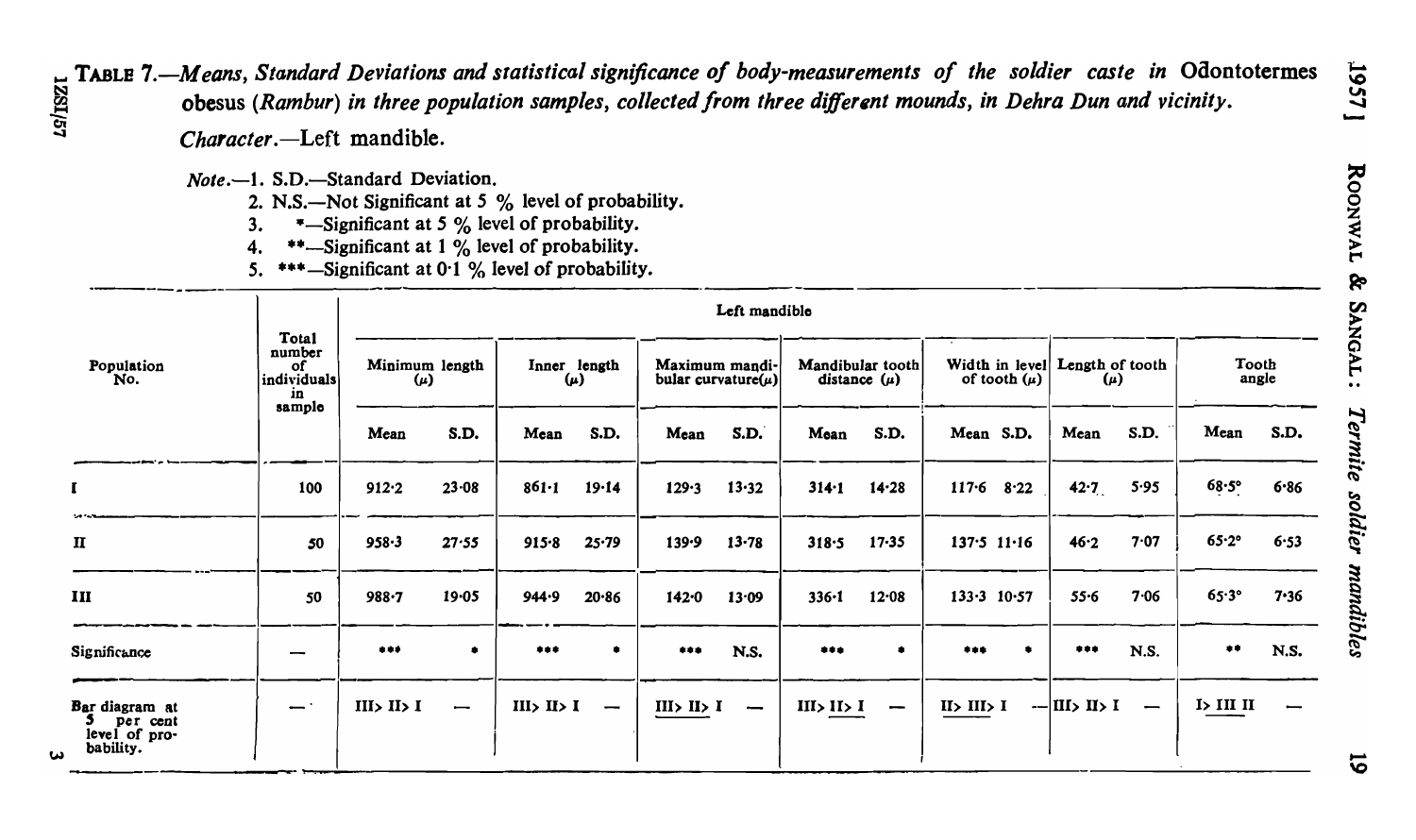- TABLE 7.—Means, Standard Deviations and statistical significance of body-measurements of the soldier caste in Odontotermes<br>obesus (Rambur) in three population samples, collected from three different mounds in Delsey Polic
	- Character.-Left mandible.
	- Note.-1. S.D.-Standard Deviation.
		- 2. N.S.—Not Significant at 5 % level of probability.
		- \*-Significant at 5 % level of probability.  $3<sub>1</sub>$
		- \*\*-Significant at 1 % level of probability.  $\mathbf{4}$ .
		- 5. \*\*\*-Significant at 0.1 % level of probability.

| Population<br>No.                                        |                                            | Left mandible                                         |           |                                         |                          |                                            |           |                                      |           |                  |                 |                                                              |                          |                  |             |
|----------------------------------------------------------|--------------------------------------------|-------------------------------------------------------|-----------|-----------------------------------------|--------------------------|--------------------------------------------|-----------|--------------------------------------|-----------|------------------|-----------------|--------------------------------------------------------------|--------------------------|------------------|-------------|
|                                                          | Total<br>number<br>0f<br>individuals<br>in | Minimum length<br>$(\mu)$                             |           | Inner length<br>$(\mu)$                 |                          | Maximum mandi-<br>bular curvature( $\mu$ ) |           | Mandibular tooth<br>distance $(\mu)$ |           | of tooth $(\mu)$ |                 | Width in level Length of tooth<br>$(\mu)$                    |                          | Tooth<br>angle   |             |
|                                                          | sample                                     | Mean                                                  | S.D.      | Mean                                    | S.D.                     | Mean                                       | S.D.      | Mean                                 | S.D.      | Mean S.D.        |                 | Mean                                                         | S.D.                     | Mean             | S.D.        |
|                                                          | 100                                        | 912.2                                                 | 23.08     | $861 - 1$                               | 19.14                    | 129.3                                      | 13.32     | $314 - 1$                            | $14 - 28$ |                  | $117.6$ 8.22    | 42.7                                                         | 5.95                     | $68.5^\circ$     | $6 - 86$    |
| $\mathbf{I}$                                             | 50                                         | $958 - 3$                                             | 27.55     | $915 - 8$                               | $25 - 79$                | 139.9                                      | $13 - 78$ | 318.5                                | $17 - 35$ |                  | $137.5$ $11.16$ | 46.2                                                         | 7.07                     | $65.2^\circ$     | 6.53        |
| III                                                      | 50                                         | $988 - 7$                                             | $19 - 05$ | 944.9                                   | 20.86                    | $142 - 0$                                  | 13.09     | $336 - 1$                            | $12 - 08$ |                  | $133.3$ $10.57$ | $55 - 6$                                                     | 7.06                     | $65.3^\circ$     | 7.36        |
| Significance                                             | --                                         | $\begin{array}{cc} \bullet\bullet\bullet \end{array}$ | ٠         | ***                                     | $\bullet$                | ***                                        | N.S.      | ***                                  | ٠         | ***              | ۰               | ***                                                          | N.S.                     | $\bullet\bullet$ | <b>N.S.</b> |
| Bar diagram at<br>per cent<br>level of pro-<br>bability. | $\overline{\phantom{a}}$ .                 | $II \rightarrow II \rightarrow I$                     | –         | $II \triangleright II \triangleright I$ | $\overline{\phantom{0}}$ | III > II > I                               | —         | III > II > I                         | -         | II > III > I     |                 | $-$ III $\overline{\phantom{a}}$ II $\overline{\phantom{a}}$ | $\overline{\phantom{m}}$ | I > III II       |             |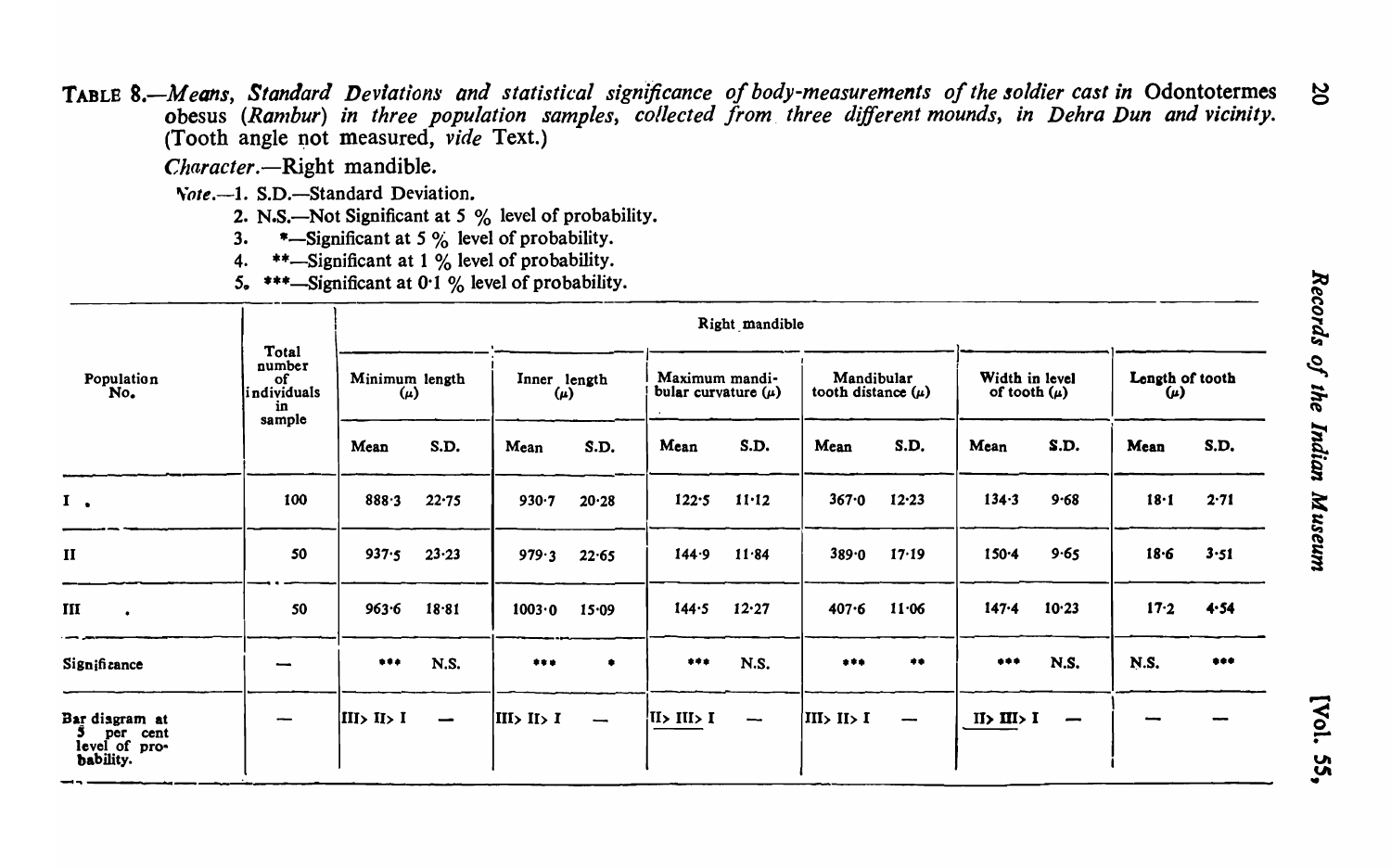TABLE 8.-Means, Standard Deviations and statistical significance of body-measurements of the soldier cast in Odontotermes obesus (Rambur) in three population samples, collected from three different mounds, in Dehra Dun and vicinity. (Tooth angle not measured,  $\hat{vide}$  Text.)

Character.-Right mandible.

Vote.--1. S.D.-Standard Deviation.

2. N.S.—Not Significant at 5 % level of probability.

\*-Significant at 5 % level of probability.  $3.$ 

\*\*-Significant at 1 % level of probability.  $\mathbf{4}$ 

5. \*\*\*-Significant at 0.1 % level of probability.

|                                                          |                                                      |                           |                          |                         |                          |                                           | Right mandible |                                      |                       |                                                                                   |          |                            |       |
|----------------------------------------------------------|------------------------------------------------------|---------------------------|--------------------------|-------------------------|--------------------------|-------------------------------------------|----------------|--------------------------------------|-----------------------|-----------------------------------------------------------------------------------|----------|----------------------------|-------|
| Population<br>No.                                        | Total<br>number<br>of<br>individuals<br>in<br>sample | Minimum length<br>$(\mu)$ |                          | Inner length<br>$(\mu)$ |                          | Maximum mandi-<br>bular curvature $(\mu)$ |                | Mandibular<br>tooth distance $(\mu)$ |                       | Width in level<br>of tooth $(\mu)$                                                |          | Length of tooth<br>$(\mu)$ |       |
|                                                          |                                                      | Mean                      | S.D.                     | Mean                    | S.D.                     | Mean                                      | S.D.           | Mean                                 | S.D.                  | Mean                                                                              | S.D.     | Mean                       | S.D.  |
| $I \cdot$                                                | 100                                                  | 888.3                     | 22.75                    | 930.7                   | 20.28                    | 122.5                                     | $11 - 12$      | 367.0                                | 12.23                 | 134.3                                                                             | $9 - 68$ | 18·1                       | 2.71  |
| $\mathbf{I}$                                             | 50                                                   | 937.5                     | $23 - 23$                | 979.3                   | 22.65                    | 144.9                                     | 11.84          | 389.0                                | 17.19                 | $150 - 4$                                                                         | 9.65     | $18 - 6$                   | 3.51  |
| III                                                      | 50                                                   | $963 - 6$                 | 18.81                    | 1003.0                  | 15.09                    | 144.5                                     | 12.27          | $407 - 6$                            | 11.06                 | $147 - 4$                                                                         | 10.23    | 17.2                       | 4.54  |
| Significance                                             |                                                      |                           | <b>N.S.</b>              |                         | ٠                        |                                           | N.S.           |                                      | $\clubsuit\spadesuit$ | $\begin{array}{cccccccccccccc} \bullet & \bullet & \bullet & \bullet \end{array}$ | N.S.     | N.S.                       | $+ +$ |
| Bar diagram at<br>per cent<br>level of pro-<br>bability. |                                                      | III> II> I                | $\overline{\phantom{0}}$ | III > II > I            | $\overline{\phantom{0}}$ | $I \leq II$ $II \leq I$                   |                | III> II> I                           | --                    | II > III > I                                                                      |          |                            |       |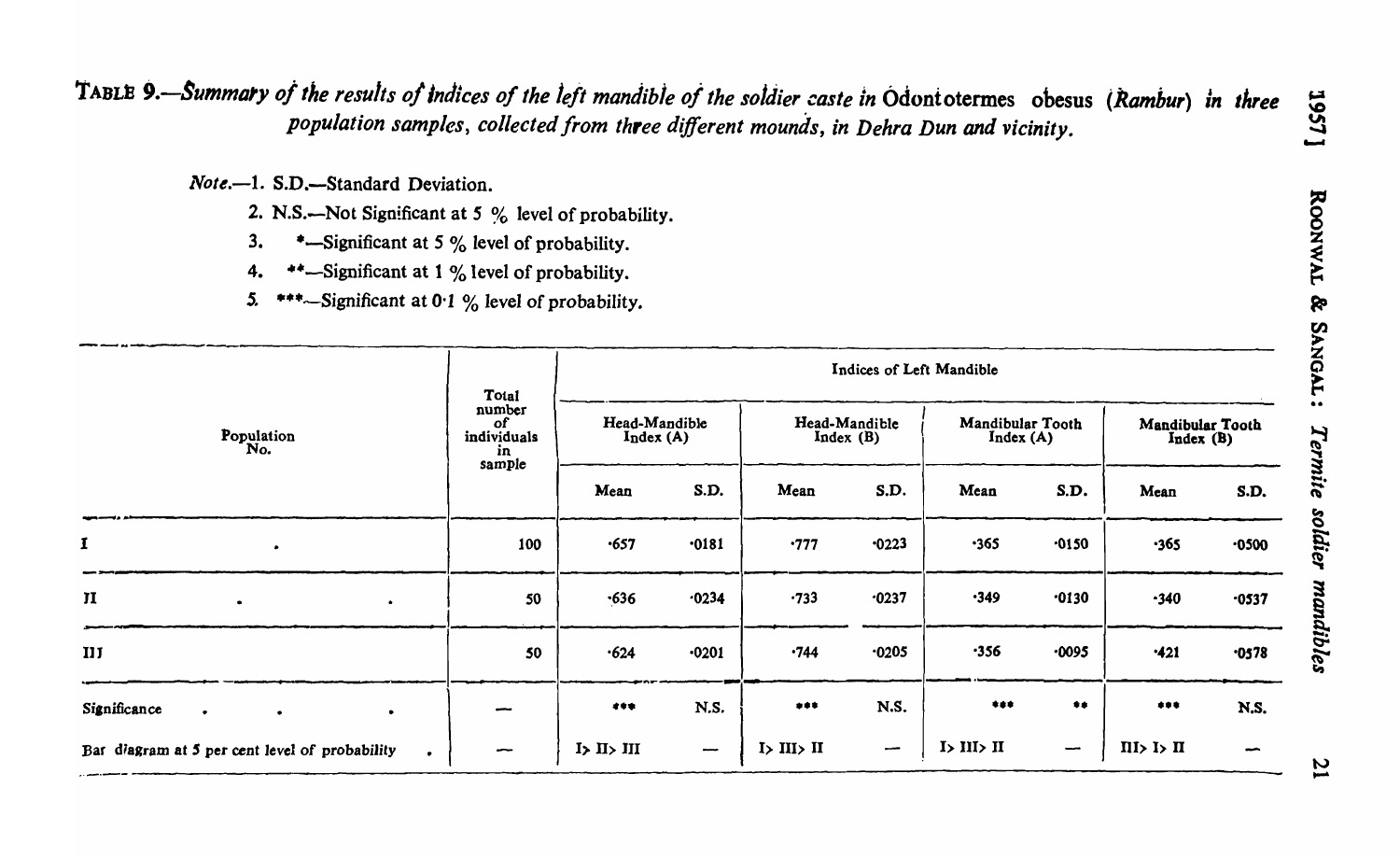TABLE 9.-Summary of the results of indices of the left mandible of the soldier caste in Odontotermes obesus (Rambur) in three population samples, collected from three different mounds, in Dehra Dun and vicinity.

Note.-1. S.D.-Standard Deviation.

- 2. N.S.—Not Significant at 5 % level of probability.
- \*-Significant at 5 % level of probability.  $3.$
- \*\*-Significant at 1 % level of probability.  $4.$
- $5.$ \*\*\*~Significant at 0.1 % level of probability.

|                                                     | Total                                              | Indices of Left Mandible  |                          |                           |                          |                                                              |                          |                                           |                          |  |  |
|-----------------------------------------------------|----------------------------------------------------|---------------------------|--------------------------|---------------------------|--------------------------|--------------------------------------------------------------|--------------------------|-------------------------------------------|--------------------------|--|--|
| Population<br>No.                                   | number<br><b>of</b><br>individuals<br>in<br>sample | Head-Mandible<br>Index(A) |                          | Head-Mandible<br>Index(B) |                          | Mandibular Tooth<br>Index(A)                                 |                          | Mandibular Tooth<br>Index(B)              |                          |  |  |
|                                                     |                                                    | Mean                      | S.D.                     | Mean                      | S.D.                     | Mean                                                         | S.D.                     | Mean                                      | S.D.                     |  |  |
| $\mathbf I$<br>$\bullet$                            | 100                                                | .657                      | .0181                    | .777                      | 0223                     | $-365$                                                       | $-0150$                  | $-365$                                    | 0500                     |  |  |
| $\mathbf{I}$<br>$\bullet$<br>$\bullet$              | 50                                                 | .636                      | 0234                     | $-733$                    | $-0237$                  | .349                                                         | $-0130$                  | $-340$                                    | $-0537$                  |  |  |
| IIJ                                                 | 50                                                 | $\cdot 624$               | .0201                    | .744                      | 0205                     | $-356$                                                       | .0095                    | •421                                      | .0578                    |  |  |
| Significance<br>$\bullet$<br>$\bullet$<br>$\bullet$ |                                                    | 499.                      | N.S.                     | ***                       | <b>N.S.</b>              | $\begin{array}{ccc} \bullet & \bullet & \bullet \end{array}$ | $\clubsuit\spadesuit$    | $\begin{array}{cc} * & * & * \end{array}$ | N.S.                     |  |  |
| Bar diagram at 5 per cent level of probability      | -                                                  | I > II > III              | $\overline{\phantom{a}}$ | I > III > II              | $\overline{\phantom{a}}$ | I > III > II                                                 | $\overline{\phantom{m}}$ | II > I > II                               | $\overline{\phantom{a}}$ |  |  |